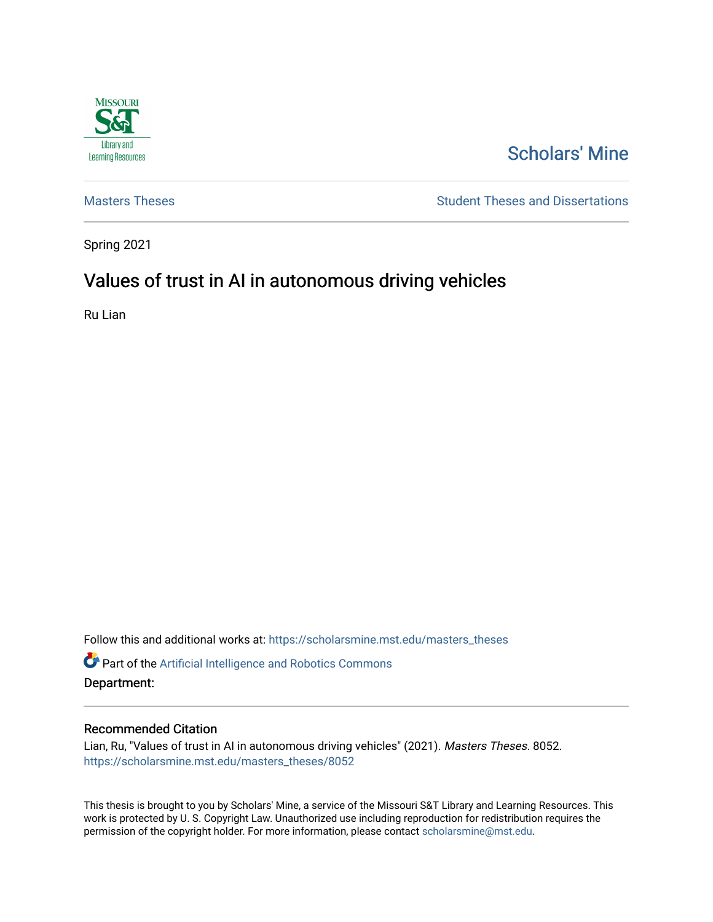

# [Scholars' Mine](https://scholarsmine.mst.edu/)

[Masters Theses](https://scholarsmine.mst.edu/masters_theses) **Student Theses and Dissertations** Student Theses and Dissertations

Spring 2021

# Values of trust in AI in autonomous driving vehicles

Ru Lian

Follow this and additional works at: [https://scholarsmine.mst.edu/masters\\_theses](https://scholarsmine.mst.edu/masters_theses?utm_source=scholarsmine.mst.edu%2Fmasters_theses%2F8052&utm_medium=PDF&utm_campaign=PDFCoverPages) 

Part of the [Artificial Intelligence and Robotics Commons](http://network.bepress.com/hgg/discipline/143?utm_source=scholarsmine.mst.edu%2Fmasters_theses%2F8052&utm_medium=PDF&utm_campaign=PDFCoverPages) 

Department:

#### Recommended Citation

Lian, Ru, "Values of trust in AI in autonomous driving vehicles" (2021). Masters Theses. 8052. [https://scholarsmine.mst.edu/masters\\_theses/8052](https://scholarsmine.mst.edu/masters_theses/8052?utm_source=scholarsmine.mst.edu%2Fmasters_theses%2F8052&utm_medium=PDF&utm_campaign=PDFCoverPages) 

This thesis is brought to you by Scholars' Mine, a service of the Missouri S&T Library and Learning Resources. This work is protected by U. S. Copyright Law. Unauthorized use including reproduction for redistribution requires the permission of the copyright holder. For more information, please contact [scholarsmine@mst.edu](mailto:scholarsmine@mst.edu).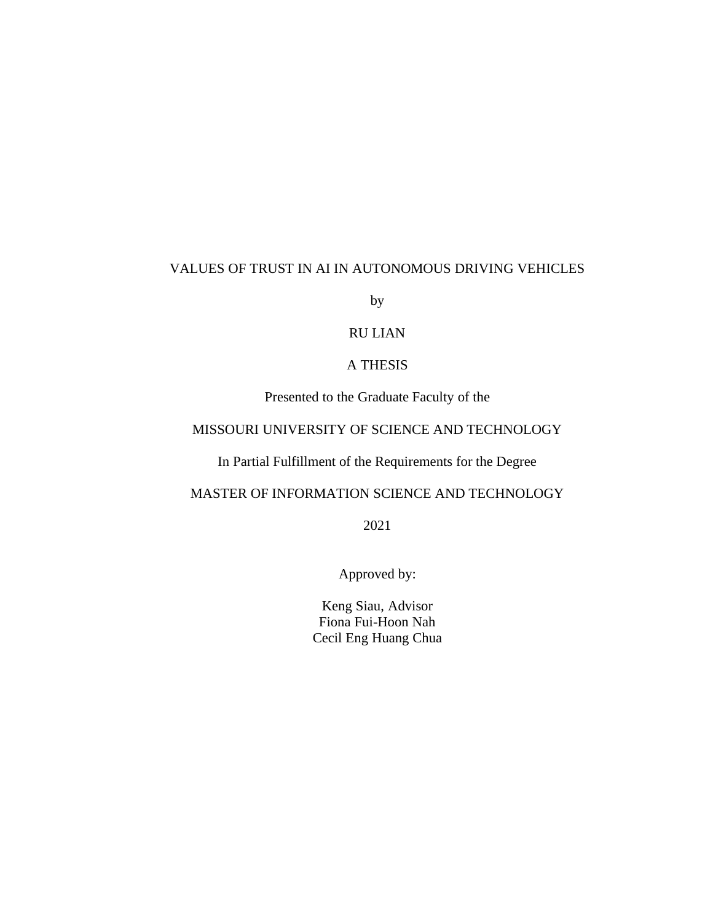# VALUES OF TRUST IN AI IN AUTONOMOUS DRIVING VEHICLES

by

# RU LIAN

## A THESIS

Presented to the Graduate Faculty of the

# MISSOURI UNIVERSITY OF SCIENCE AND TECHNOLOGY

In Partial Fulfillment of the Requirements for the Degree

# MASTER OF INFORMATION SCIENCE AND TECHNOLOGY

2021

Approved by:

Keng Siau, Advisor Fiona Fui-Hoon Nah Cecil Eng Huang Chua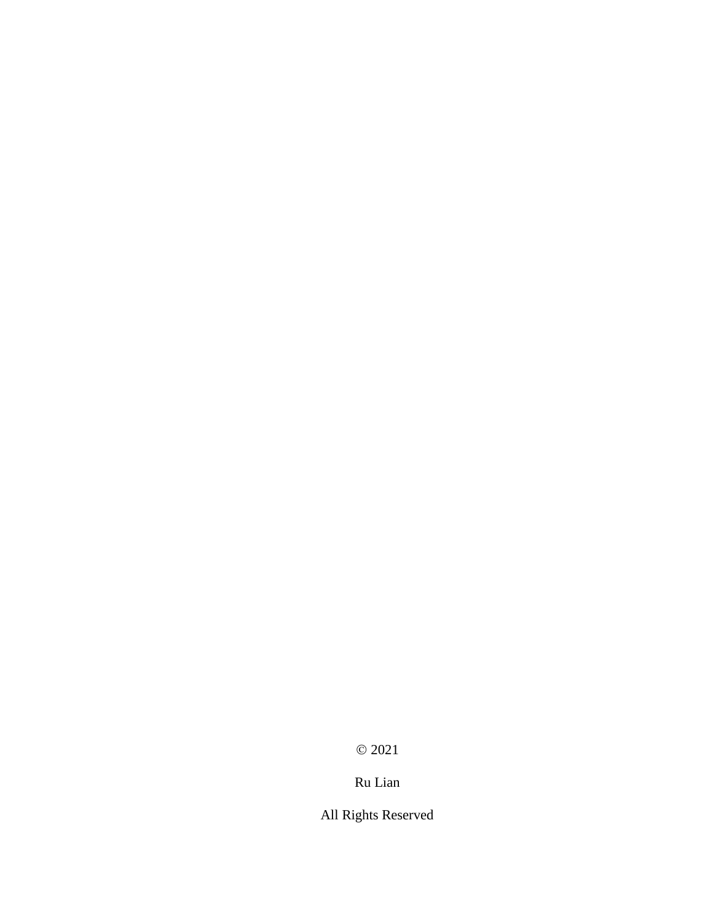© 2021

# Ru Lian

All Rights Reserved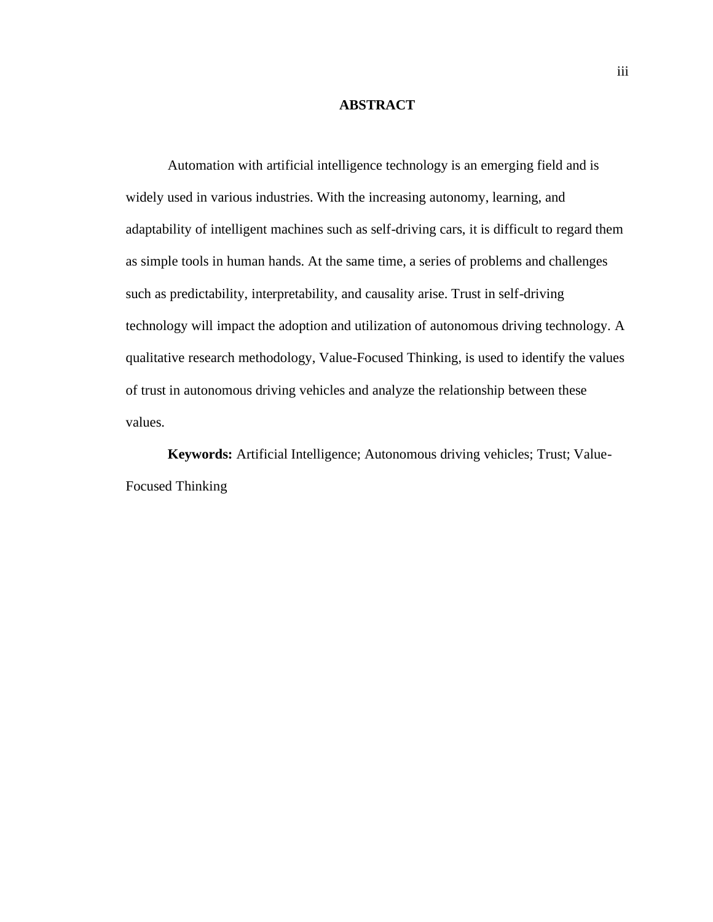#### **ABSTRACT**

Automation with artificial intelligence technology is an emerging field and is widely used in various industries. With the increasing autonomy, learning, and adaptability of intelligent machines such as self-driving cars, it is difficult to regard them as simple tools in human hands. At the same time, a series of problems and challenges such as predictability, interpretability, and causality arise. Trust in self-driving technology will impact the adoption and utilization of autonomous driving technology. A qualitative research methodology, Value-Focused Thinking, is used to identify the values of trust in autonomous driving vehicles and analyze the relationship between these values.

**Keywords:** Artificial Intelligence; Autonomous driving vehicles; Trust; Value-Focused Thinking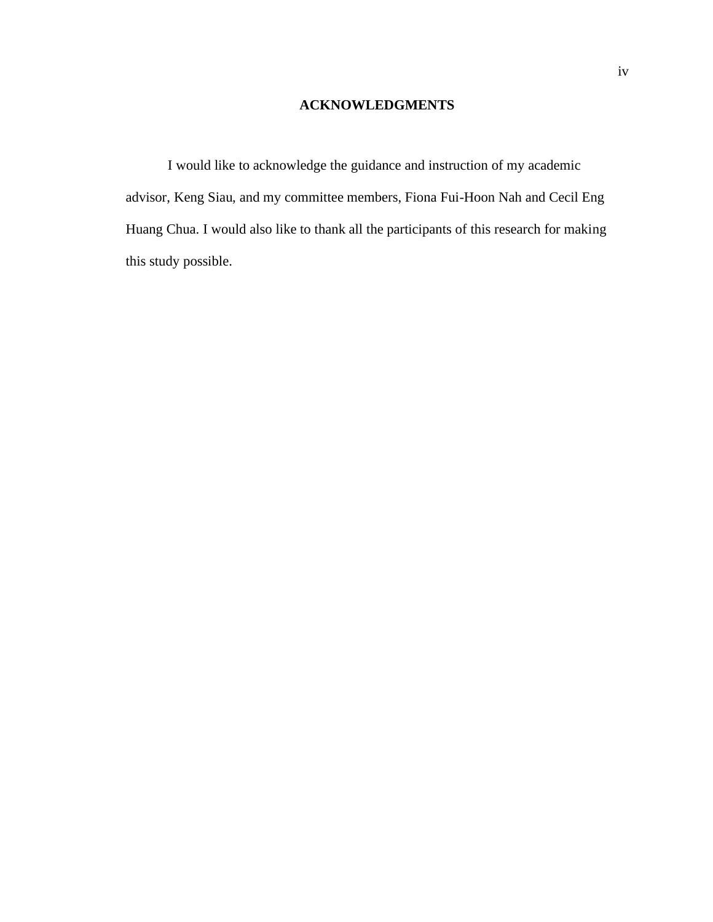# **ACKNOWLEDGMENTS**

I would like to acknowledge the guidance and instruction of my academic advisor, Keng Siau, and my committee members, Fiona Fui-Hoon Nah and Cecil Eng Huang Chua. I would also like to thank all the participants of this research for making this study possible.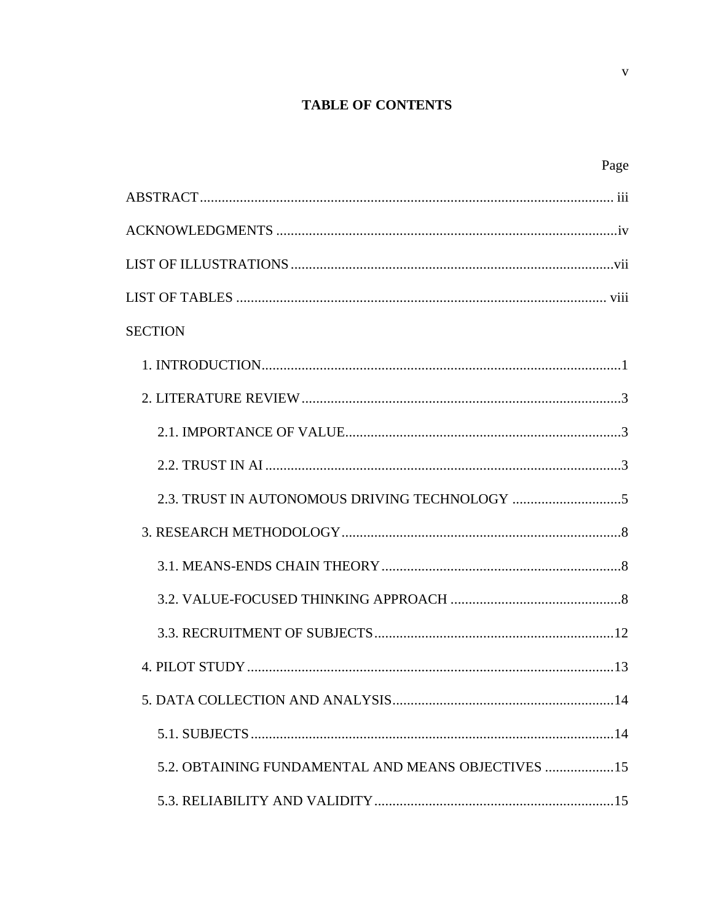# **TABLE OF CONTENTS**

| Page                                               |
|----------------------------------------------------|
|                                                    |
|                                                    |
|                                                    |
|                                                    |
| <b>SECTION</b>                                     |
|                                                    |
|                                                    |
|                                                    |
|                                                    |
|                                                    |
|                                                    |
|                                                    |
|                                                    |
|                                                    |
|                                                    |
|                                                    |
|                                                    |
| 5.2. OBTAINING FUNDAMENTAL AND MEANS OBJECTIVES 15 |
|                                                    |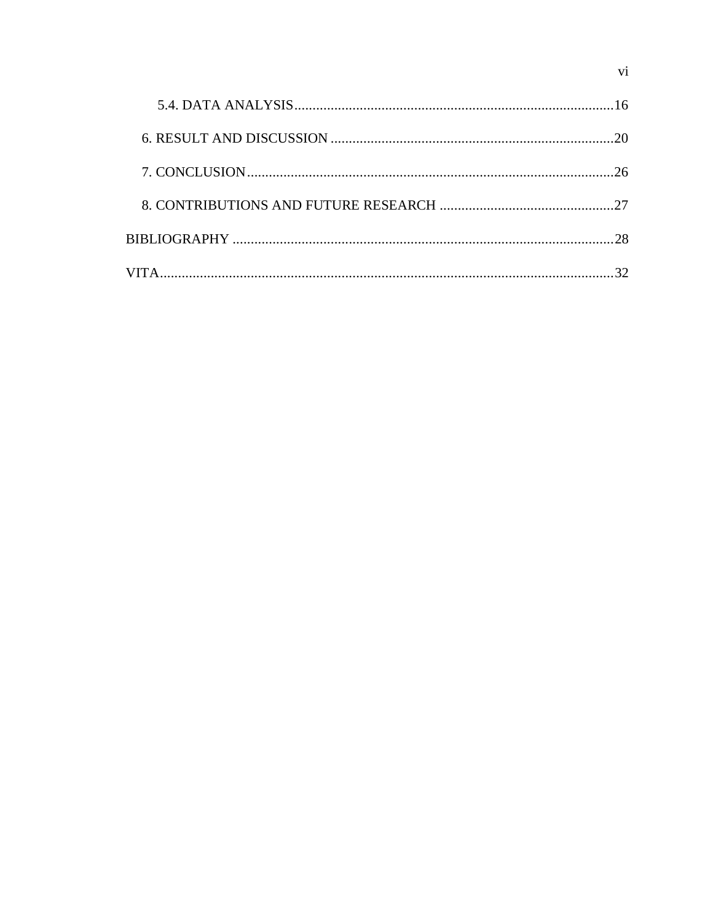|  | 16 |
|--|----|
|  | 20 |
|  | 26 |
|  |    |
|  |    |
|  |    |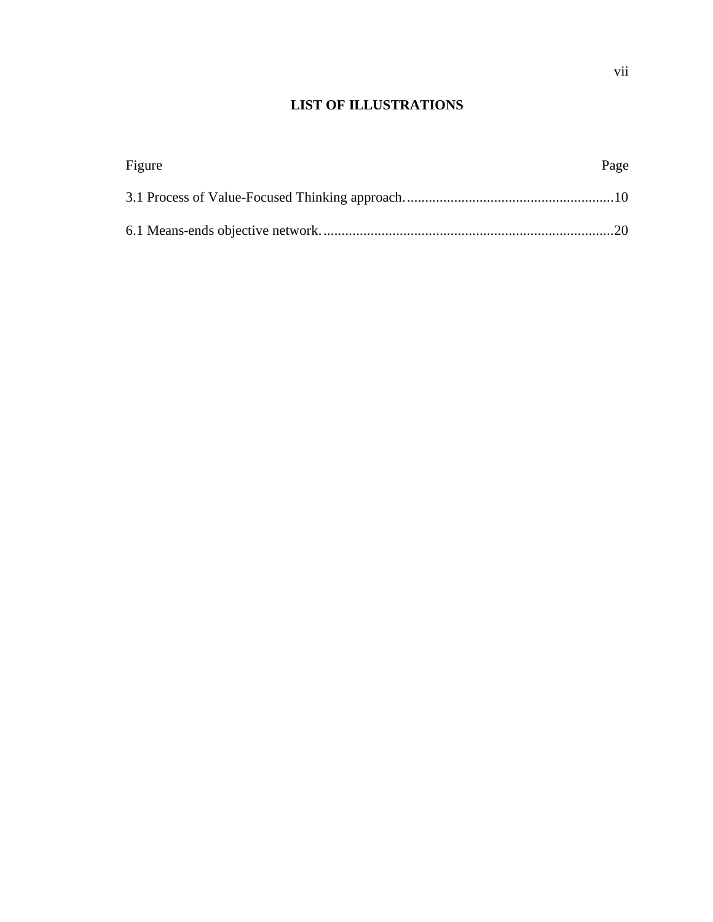# **LIST OF ILLUSTRATIONS**

| Figure | Page |
|--------|------|
|        |      |
|        |      |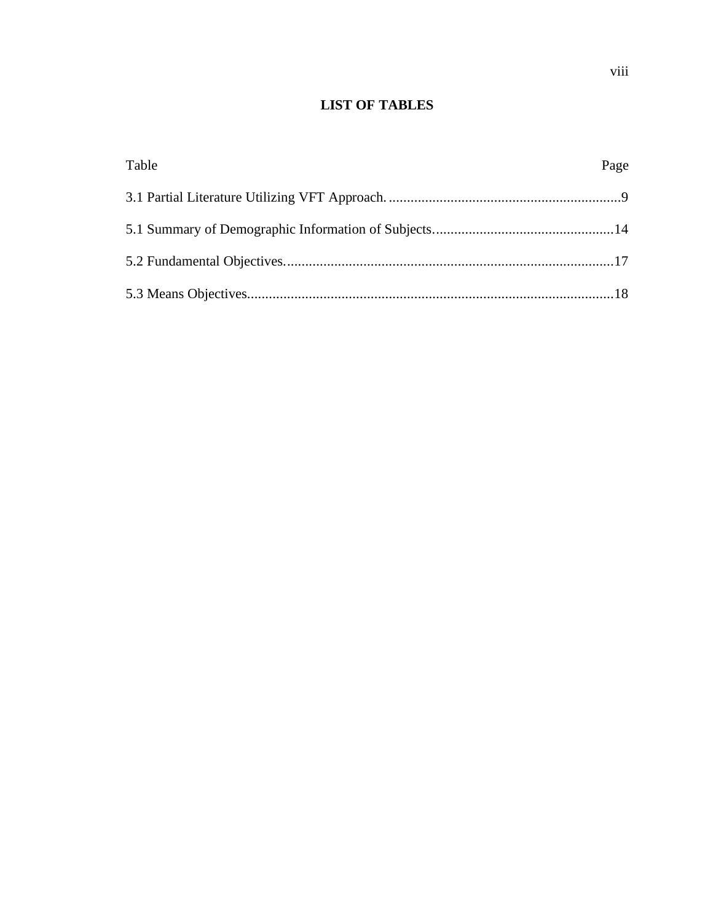# **LIST OF TABLES**

| Table | Page |
|-------|------|
|       |      |
|       |      |
|       |      |
|       |      |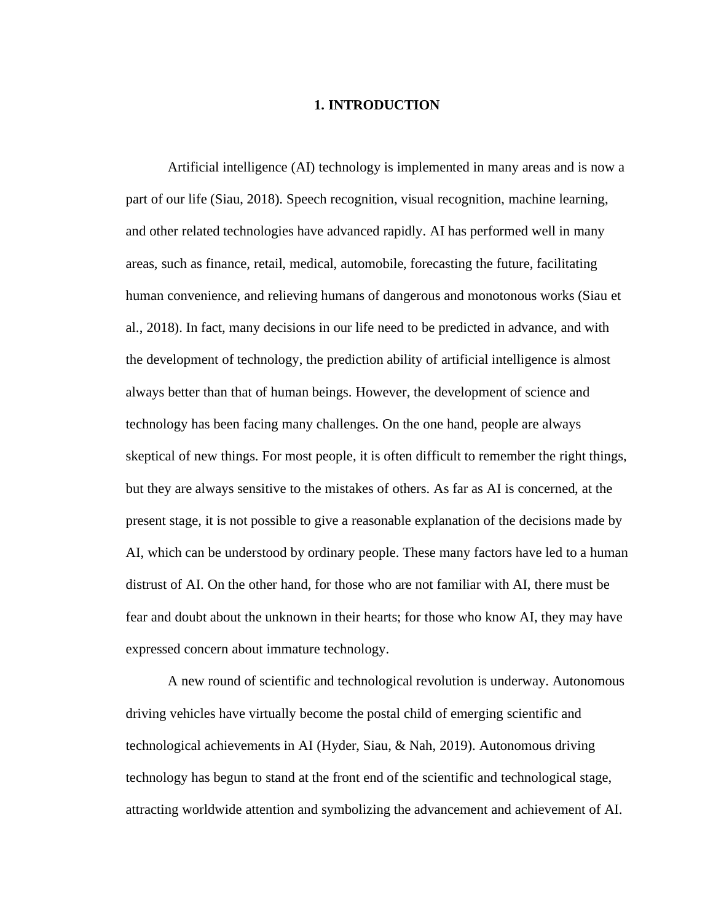### **1. INTRODUCTION**

Artificial intelligence (AI) technology is implemented in many areas and is now a part of our life (Siau, 2018). Speech recognition, visual recognition, machine learning, and other related technologies have advanced rapidly. AI has performed well in many areas, such as finance, retail, medical, automobile, forecasting the future, facilitating human convenience, and relieving humans of dangerous and monotonous works (Siau et al., 2018). In fact, many decisions in our life need to be predicted in advance, and with the development of technology, the prediction ability of artificial intelligence is almost always better than that of human beings. However, the development of science and technology has been facing many challenges. On the one hand, people are always skeptical of new things. For most people, it is often difficult to remember the right things, but they are always sensitive to the mistakes of others. As far as AI is concerned, at the present stage, it is not possible to give a reasonable explanation of the decisions made by AI, which can be understood by ordinary people. These many factors have led to a human distrust of AI. On the other hand, for those who are not familiar with AI, there must be fear and doubt about the unknown in their hearts; for those who know AI, they may have expressed concern about immature technology.

A new round of scientific and technological revolution is underway. Autonomous driving vehicles have virtually become the postal child of emerging scientific and technological achievements in AI (Hyder, Siau, & Nah, 2019). Autonomous driving technology has begun to stand at the front end of the scientific and technological stage, attracting worldwide attention and symbolizing the advancement and achievement of AI.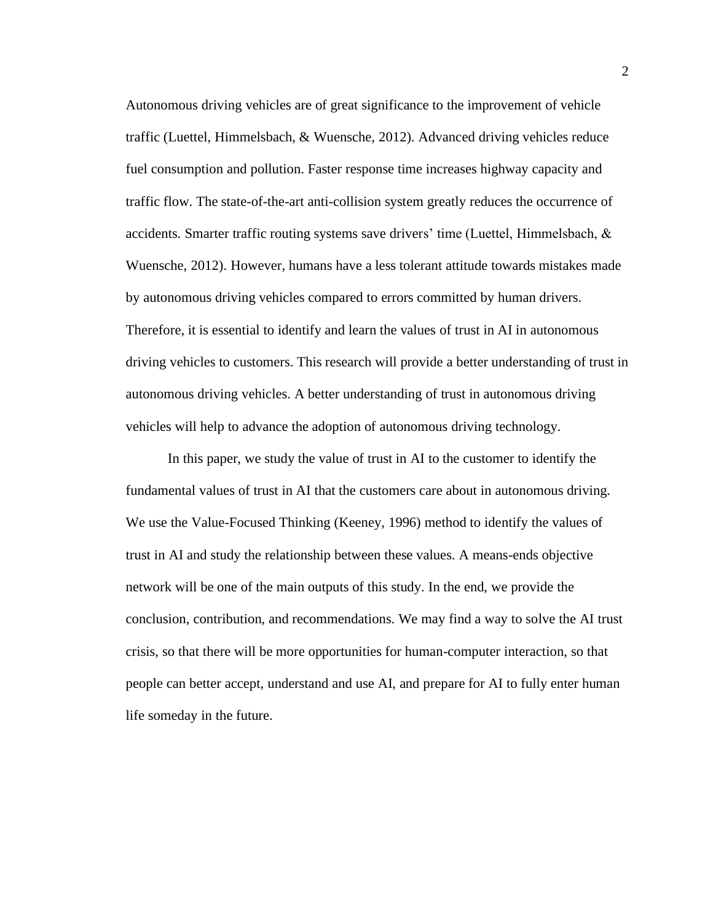Autonomous driving vehicles are of great significance to the improvement of vehicle traffic (Luettel, Himmelsbach, & Wuensche, 2012). Advanced driving vehicles reduce fuel consumption and pollution. Faster response time increases highway capacity and traffic flow. The state-of-the-art anti-collision system greatly reduces the occurrence of accidents. Smarter traffic routing systems save drivers' time (Luettel, Himmelsbach,  $\&$ Wuensche, 2012). However, humans have a less tolerant attitude towards mistakes made by autonomous driving vehicles compared to errors committed by human drivers. Therefore, it is essential to identify and learn the values of trust in AI in autonomous driving vehicles to customers. This research will provide a better understanding of trust in autonomous driving vehicles. A better understanding of trust in autonomous driving vehicles will help to advance the adoption of autonomous driving technology.

In this paper, we study the value of trust in AI to the customer to identify the fundamental values of trust in AI that the customers care about in autonomous driving. We use the Value-Focused Thinking (Keeney, 1996) method to identify the values of trust in AI and study the relationship between these values. A means-ends objective network will be one of the main outputs of this study. In the end, we provide the conclusion, contribution, and recommendations. We may find a way to solve the AI trust crisis, so that there will be more opportunities for human-computer interaction, so that people can better accept, understand and use AI, and prepare for AI to fully enter human life someday in the future.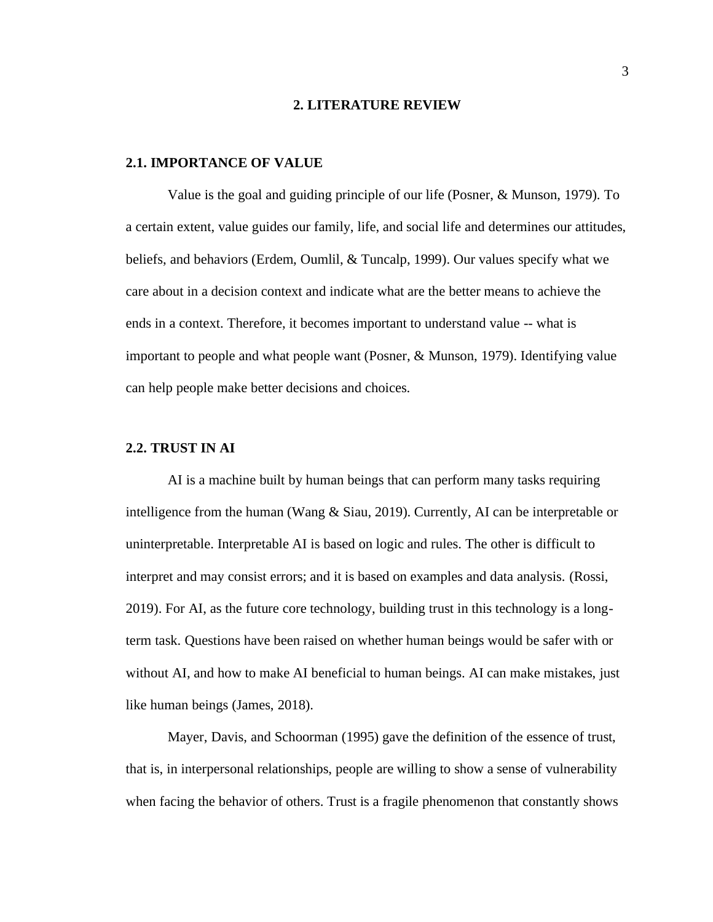#### **2. LITERATURE REVIEW**

#### <span id="page-11-1"></span><span id="page-11-0"></span>**2.1. IMPORTANCE OF VALUE**

Value is the goal and guiding principle of our life (Posner, & Munson, 1979). To a certain extent, value guides our family, life, and social life and determines our attitudes, beliefs, and behaviors (Erdem, Oumlil, & Tuncalp, 1999). Our values specify what we care about in a decision context and indicate what are the better means to achieve the ends in a context. Therefore, it becomes important to understand value -- what is important to people and what people want (Posner, & Munson, 1979). Identifying value can help people make better decisions and choices.

#### <span id="page-11-2"></span>**2.2. TRUST IN AI**

AI is a machine built by human beings that can perform many tasks requiring intelligence from the human (Wang & Siau, 2019). Currently, AI can be interpretable or uninterpretable. Interpretable AI is based on logic and rules. The other is difficult to interpret and may consist errors; and it is based on examples and data analysis. (Rossi, 2019). For AI, as the future core technology, building trust in this technology is a longterm task. Questions have been raised on whether human beings would be safer with or without AI, and how to make AI beneficial to human beings. AI can make mistakes, just like human beings (James, 2018).

Mayer, Davis, and Schoorman (1995) gave the definition of the essence of trust, that is, in interpersonal relationships, people are willing to show a sense of vulnerability when facing the behavior of others. Trust is a fragile phenomenon that constantly shows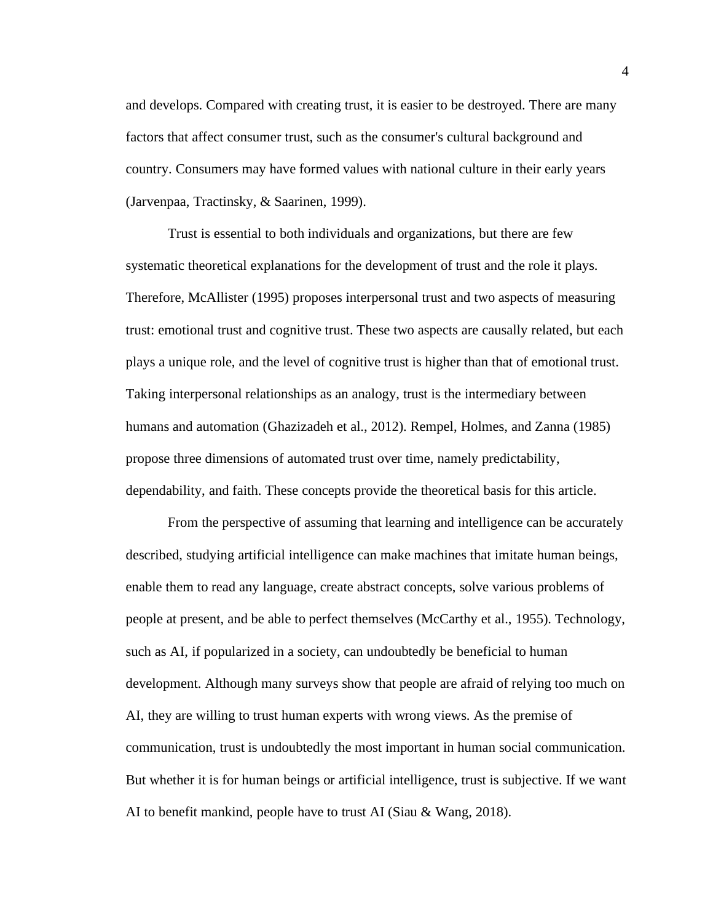and develops. Compared with creating trust, it is easier to be destroyed. There are many factors that affect consumer trust, such as the consumer's cultural background and country. Consumers may have formed values with national culture in their early years (Jarvenpaa, Tractinsky, & Saarinen, 1999).

Trust is essential to both individuals and organizations, but there are few systematic theoretical explanations for the development of trust and the role it plays. Therefore, McAllister (1995) proposes interpersonal trust and two aspects of measuring trust: emotional trust and cognitive trust. These two aspects are causally related, but each plays a unique role, and the level of cognitive trust is higher than that of emotional trust. Taking interpersonal relationships as an analogy, trust is the intermediary between humans and automation (Ghazizadeh et al., 2012). Rempel, Holmes, and Zanna (1985) propose three dimensions of automated trust over time, namely predictability, dependability, and faith. These concepts provide the theoretical basis for this article.

From the perspective of assuming that learning and intelligence can be accurately described, studying artificial intelligence can make machines that imitate human beings, enable them to read any language, create abstract concepts, solve various problems of people at present, and be able to perfect themselves (McCarthy et al., 1955). Technology, such as AI, if popularized in a society, can undoubtedly be beneficial to human development. Although many surveys show that people are afraid of relying too much on AI, they are willing to trust human experts with wrong views. As the premise of communication, trust is undoubtedly the most important in human social communication. But whether it is for human beings or artificial intelligence, trust is subjective. If we want AI to benefit mankind, people have to trust AI (Siau & Wang, 2018).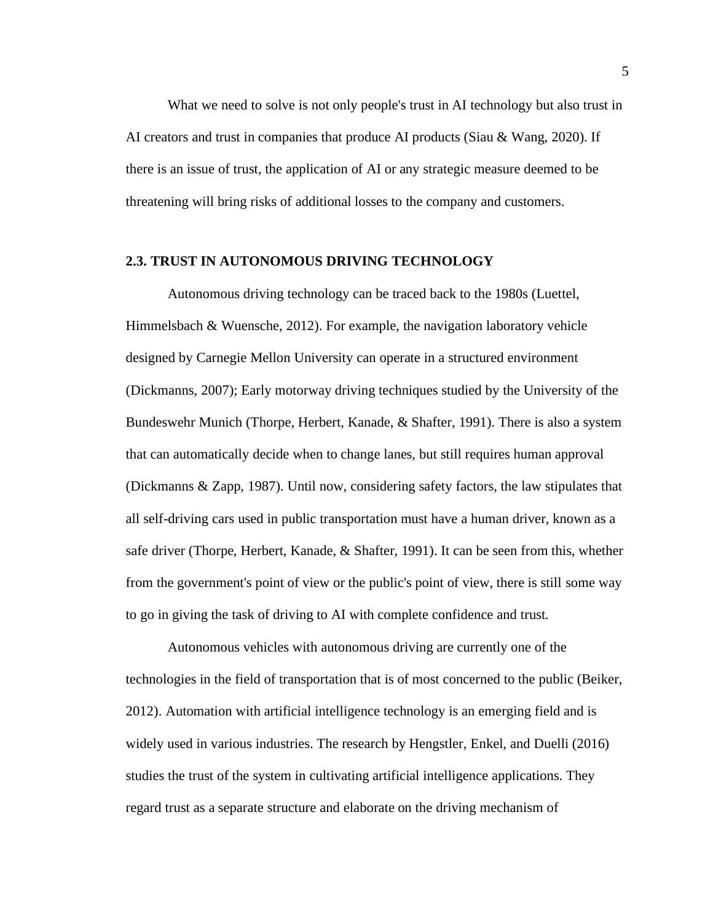What we need to solve is not only people's trust in AI technology but also trust in AI creators and trust in companies that produce AI products (Siau & Wang, 2020). If there is an issue of trust, the application of AI or any strategic measure deemed to be threatening will bring risks of additional losses to the company and customers.

#### <span id="page-13-0"></span>**2.3. TRUST IN AUTONOMOUS DRIVING TECHNOLOGY**

Autonomous driving technology can be traced back to the 1980s (Luettel, Himmelsbach & Wuensche, 2012). For example, the navigation laboratory vehicle designed by Carnegie Mellon University can operate in a structured environment (Dickmanns, 2007); Early motorway driving techniques studied by the University of the Bundeswehr Munich (Thorpe, Herbert, Kanade, & Shafter, 1991). There is also a system that can automatically decide when to change lanes, but still requires human approval (Dickmanns & Zapp, 1987). Until now, considering safety factors, the law stipulates that all self-driving cars used in public transportation must have a human driver, known as a safe driver (Thorpe, Herbert, Kanade, & Shafter, 1991). It can be seen from this, whether from the government's point of view or the public's point of view, there is still some way to go in giving the task of driving to AI with complete confidence and trust.

Autonomous vehicles with autonomous driving are currently one of the technologies in the field of transportation that is of most concerned to the public (Beiker, 2012). Automation with artificial intelligence technology is an emerging field and is widely used in various industries. The research by Hengstler, Enkel, and Duelli (2016) studies the trust of the system in cultivating artificial intelligence applications. They regard trust as a separate structure and elaborate on the driving mechanism of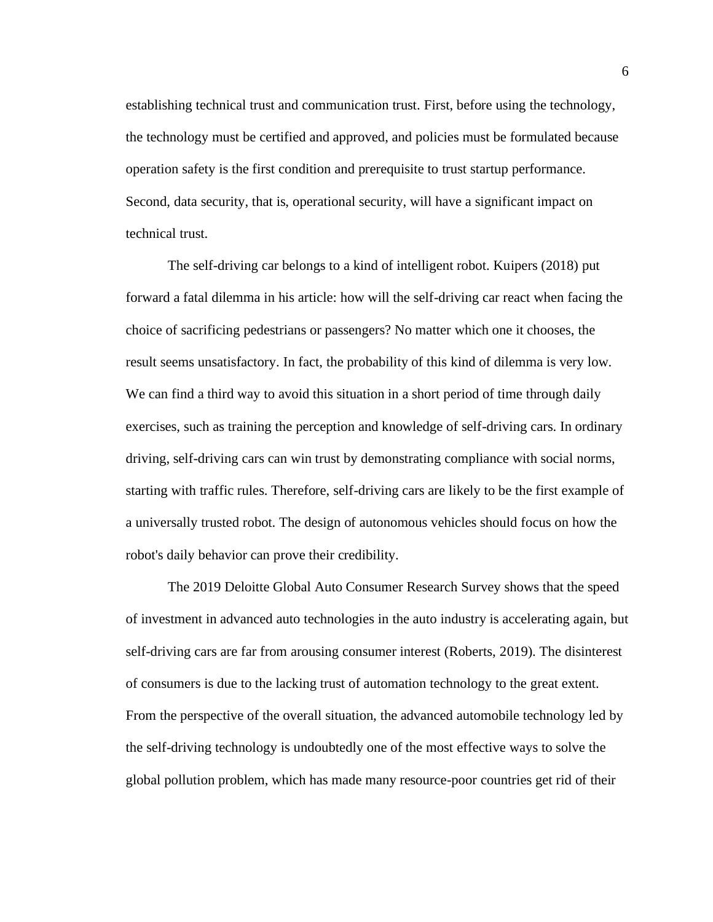establishing technical trust and communication trust. First, before using the technology, the technology must be certified and approved, and policies must be formulated because operation safety is the first condition and prerequisite to trust startup performance. Second, data security, that is, operational security, will have a significant impact on technical trust.

The self-driving car belongs to a kind of intelligent robot. Kuipers (2018) put forward a fatal dilemma in his article: how will the self-driving car react when facing the choice of sacrificing pedestrians or passengers? No matter which one it chooses, the result seems unsatisfactory. In fact, the probability of this kind of dilemma is very low. We can find a third way to avoid this situation in a short period of time through daily exercises, such as training the perception and knowledge of self-driving cars. In ordinary driving, self-driving cars can win trust by demonstrating compliance with social norms, starting with traffic rules. Therefore, self-driving cars are likely to be the first example of a universally trusted robot. The design of autonomous vehicles should focus on how the robot's daily behavior can prove their credibility.

The 2019 Deloitte Global Auto Consumer Research Survey shows that the speed of investment in advanced auto technologies in the auto industry is accelerating again, but self-driving cars are far from arousing consumer interest (Roberts, 2019). The disinterest of consumers is due to the lacking trust of automation technology to the great extent. From the perspective of the overall situation, the advanced automobile technology led by the self-driving technology is undoubtedly one of the most effective ways to solve the global pollution problem, which has made many resource-poor countries get rid of their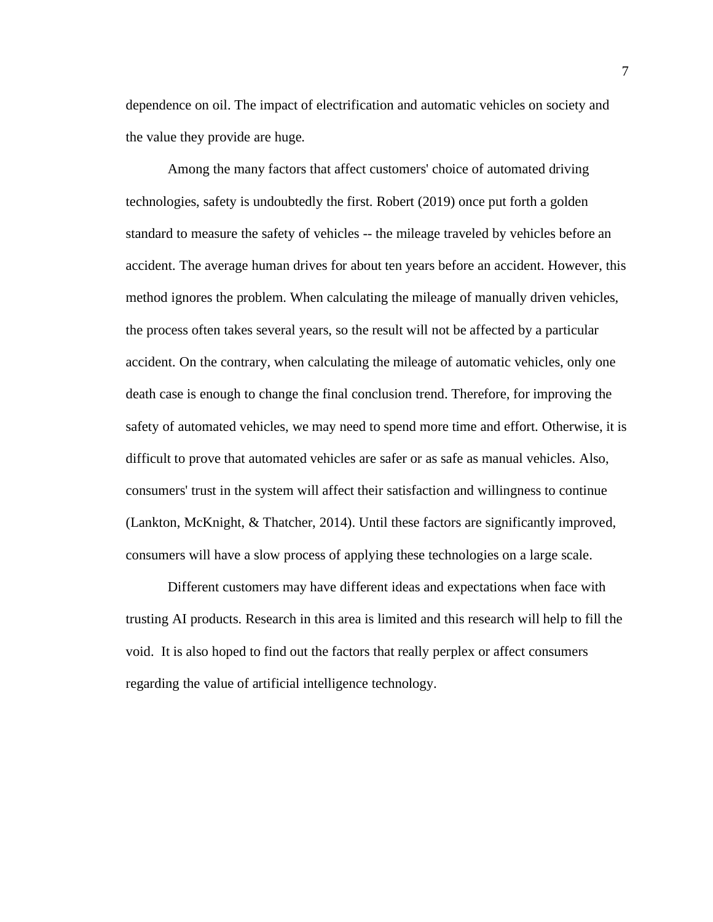dependence on oil. The impact of electrification and automatic vehicles on society and the value they provide are huge.

Among the many factors that affect customers' choice of automated driving technologies, safety is undoubtedly the first. Robert (2019) once put forth a golden standard to measure the safety of vehicles -- the mileage traveled by vehicles before an accident. The average human drives for about ten years before an accident. However, this method ignores the problem. When calculating the mileage of manually driven vehicles, the process often takes several years, so the result will not be affected by a particular accident. On the contrary, when calculating the mileage of automatic vehicles, only one death case is enough to change the final conclusion trend. Therefore, for improving the safety of automated vehicles, we may need to spend more time and effort. Otherwise, it is difficult to prove that automated vehicles are safer or as safe as manual vehicles. Also, consumers' trust in the system will affect their satisfaction and willingness to continue (Lankton, McKnight, & Thatcher, 2014). Until these factors are significantly improved, consumers will have a slow process of applying these technologies on a large scale.

Different customers may have different ideas and expectations when face with trusting AI products. Research in this area is limited and this research will help to fill the void. It is also hoped to find out the factors that really perplex or affect consumers regarding the value of artificial intelligence technology.

7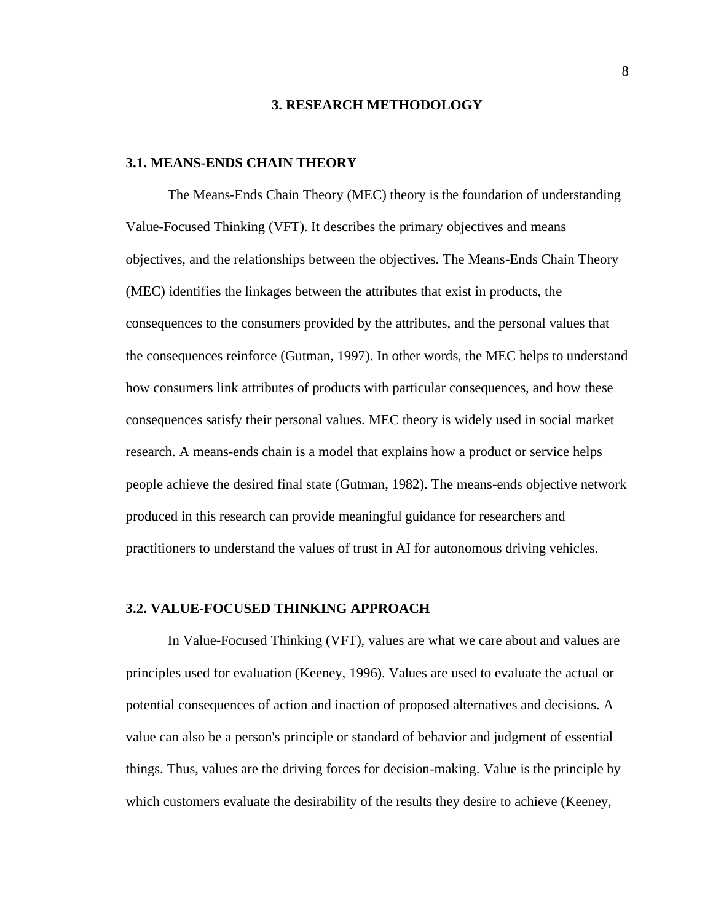#### **3. RESEARCH METHODOLOGY**

#### <span id="page-16-1"></span><span id="page-16-0"></span>**3.1. MEANS-ENDS CHAIN THEORY**

The Means-Ends Chain Theory (MEC) theory is the foundation of understanding Value-Focused Thinking (VFT). It describes the primary objectives and means objectives, and the relationships between the objectives. The Means-Ends Chain Theory (MEC) identifies the linkages between the attributes that exist in products, the consequences to the consumers provided by the attributes, and the personal values that the consequences reinforce (Gutman, 1997). In other words, the MEC helps to understand how consumers link attributes of products with particular consequences, and how these consequences satisfy their personal values. MEC theory is widely used in social market research. A means-ends chain is a model that explains how a product or service helps people achieve the desired final state (Gutman, 1982). The means-ends objective network produced in this research can provide meaningful guidance for researchers and practitioners to understand the values of trust in AI for autonomous driving vehicles.

### <span id="page-16-2"></span>**3.2. VALUE-FOCUSED THINKING APPROACH**

In Value-Focused Thinking (VFT), values are what we care about and values are principles used for evaluation (Keeney, 1996). Values are used to evaluate the actual or potential consequences of action and inaction of proposed alternatives and decisions. A value can also be a person's principle or standard of behavior and judgment of essential things. Thus, values are the driving forces for decision-making. Value is the principle by which customers evaluate the desirability of the results they desire to achieve (Keeney,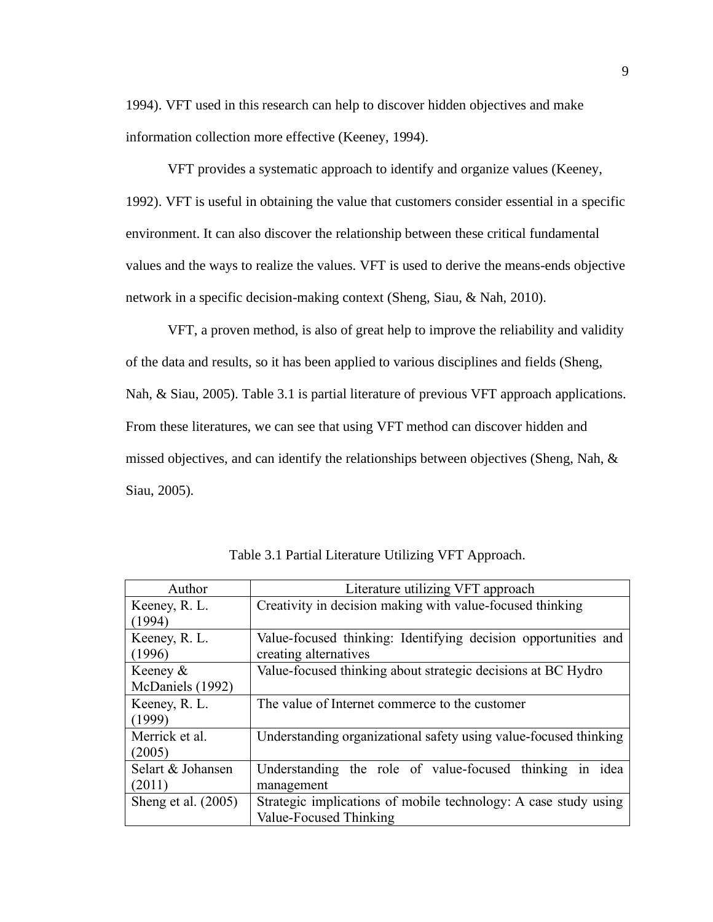1994). VFT used in this research can help to discover hidden objectives and make information collection more effective (Keeney, 1994).

VFT provides a systematic approach to identify and organize values (Keeney, 1992). VFT is useful in obtaining the value that customers consider essential in a specific environment. It can also discover the relationship between these critical fundamental values and the ways to realize the values. VFT is used to derive the means-ends objective network in a specific decision-making context (Sheng, Siau, & Nah, 2010).

VFT, a proven method, is also of great help to improve the reliability and validity of the data and results, so it has been applied to various disciplines and fields (Sheng, Nah, & Siau, 2005). Table 3.1 is partial literature of previous VFT approach applications. From these literatures, we can see that using VFT method can discover hidden and missed objectives, and can identify the relationships between objectives (Sheng, Nah, & Siau, 2005).

| Author                | Literature utilizing VFT approach                                |  |  |  |
|-----------------------|------------------------------------------------------------------|--|--|--|
| Keeney, R. L.         | Creativity in decision making with value-focused thinking        |  |  |  |
| (1994)                |                                                                  |  |  |  |
| Keeney, R. L.         | Value-focused thinking: Identifying decision opportunities and   |  |  |  |
| (1996)                | creating alternatives                                            |  |  |  |
| Keeney &              | Value-focused thinking about strategic decisions at BC Hydro     |  |  |  |
| McDaniels (1992)      |                                                                  |  |  |  |
| Keeney, R. L.         | The value of Internet commerce to the customer                   |  |  |  |
| (1999)                |                                                                  |  |  |  |
| Merrick et al.        | Understanding organizational safety using value-focused thinking |  |  |  |
| (2005)                |                                                                  |  |  |  |
| Selart & Johansen     | Understanding the role of value-focused thinking<br>in idea      |  |  |  |
| (2011)                | management                                                       |  |  |  |
| Sheng et al. $(2005)$ | Strategic implications of mobile technology: A case study using  |  |  |  |
|                       | Value-Focused Thinking                                           |  |  |  |

Table 3.1 Partial Literature Utilizing VFT Approach.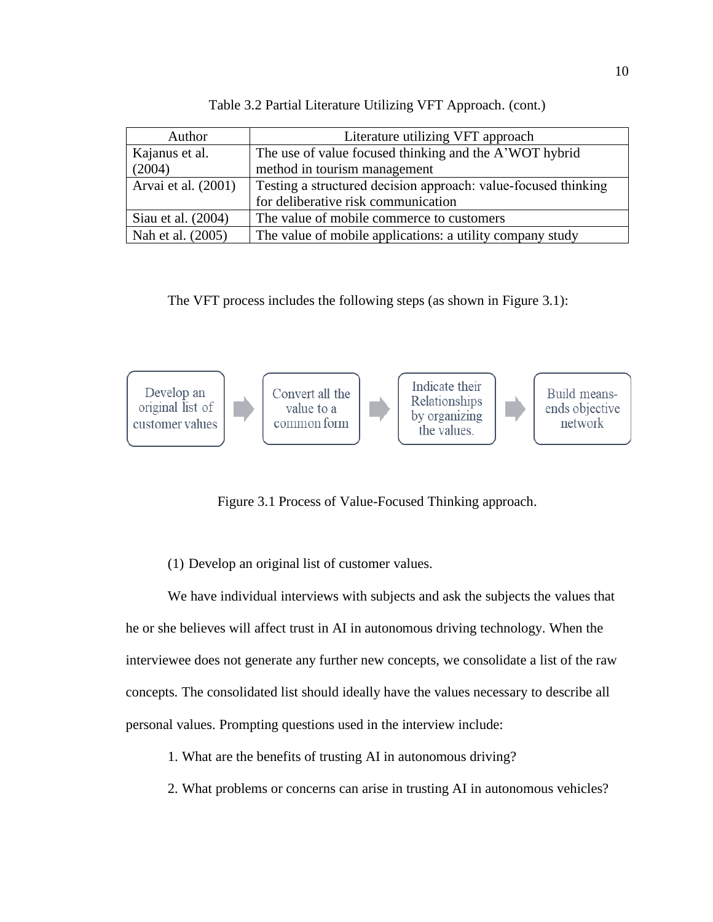| Author                                                                   | Literature utilizing VFT approach                              |  |
|--------------------------------------------------------------------------|----------------------------------------------------------------|--|
| Kajanus et al.<br>The use of value focused thinking and the A'WOT hybrid |                                                                |  |
| (2004)                                                                   | method in tourism management                                   |  |
| Arvai et al. (2001)                                                      | Testing a structured decision approach: value-focused thinking |  |
|                                                                          | for deliberative risk communication                            |  |
| Siau et al. (2004)                                                       | The value of mobile commerce to customers                      |  |
| Nah et al. (2005)                                                        | The value of mobile applications: a utility company study      |  |

Table 3.2 Partial Literature Utilizing VFT Approach. (cont.)

The VFT process includes the following steps (as shown in Figure 3.1):

<span id="page-18-0"></span>

Figure 3.1 Process of Value-Focused Thinking approach.

(1) Develop an original list of customer values.

We have individual interviews with subjects and ask the subjects the values that he or she believes will affect trust in AI in autonomous driving technology. When the interviewee does not generate any further new concepts, we consolidate a list of the raw concepts. The consolidated list should ideally have the values necessary to describe all personal values. Prompting questions used in the interview include:

- 1. What are the benefits of trusting AI in autonomous driving?
- 2. What problems or concerns can arise in trusting AI in autonomous vehicles?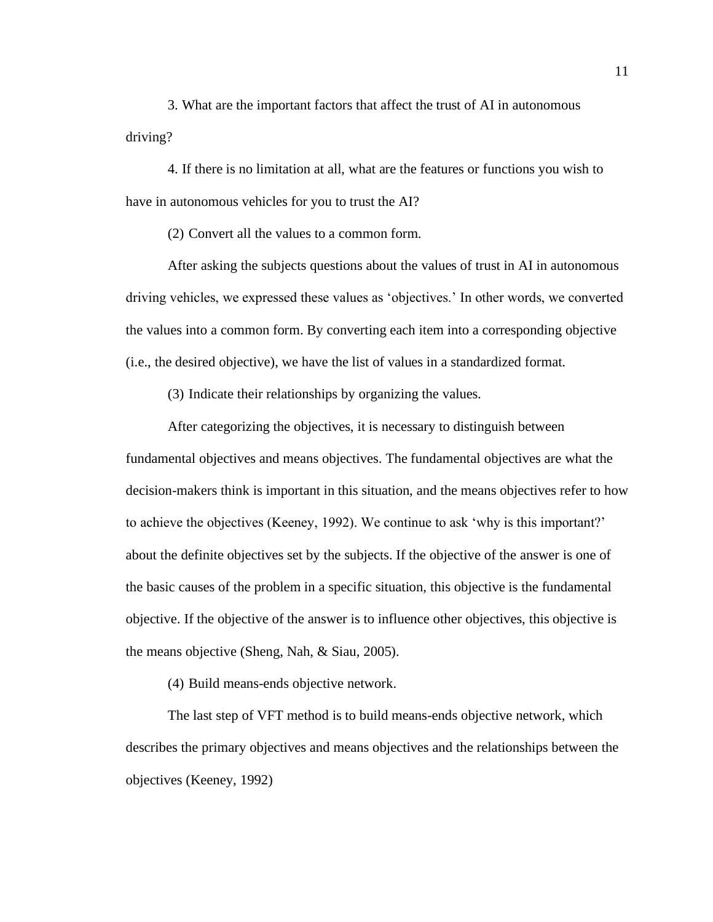3. What are the important factors that affect the trust of AI in autonomous driving?

4. If there is no limitation at all, what are the features or functions you wish to have in autonomous vehicles for you to trust the AI?

(2) Convert all the values to a common form.

After asking the subjects questions about the values of trust in AI in autonomous driving vehicles, we expressed these values as 'objectives.' In other words, we converted the values into a common form. By converting each item into a corresponding objective (i.e., the desired objective), we have the list of values in a standardized format.

(3) Indicate their relationships by organizing the values.

After categorizing the objectives, it is necessary to distinguish between fundamental objectives and means objectives. The fundamental objectives are what the decision-makers think is important in this situation, and the means objectives refer to how to achieve the objectives (Keeney, 1992). We continue to ask 'why is this important?' about the definite objectives set by the subjects. If the objective of the answer is one of the basic causes of the problem in a specific situation, this objective is the fundamental objective. If the objective of the answer is to influence other objectives, this objective is the means objective (Sheng, Nah, & Siau, 2005).

(4) Build means-ends objective network.

The last step of VFT method is to build means-ends objective network, which describes the primary objectives and means objectives and the relationships between the objectives (Keeney, 1992)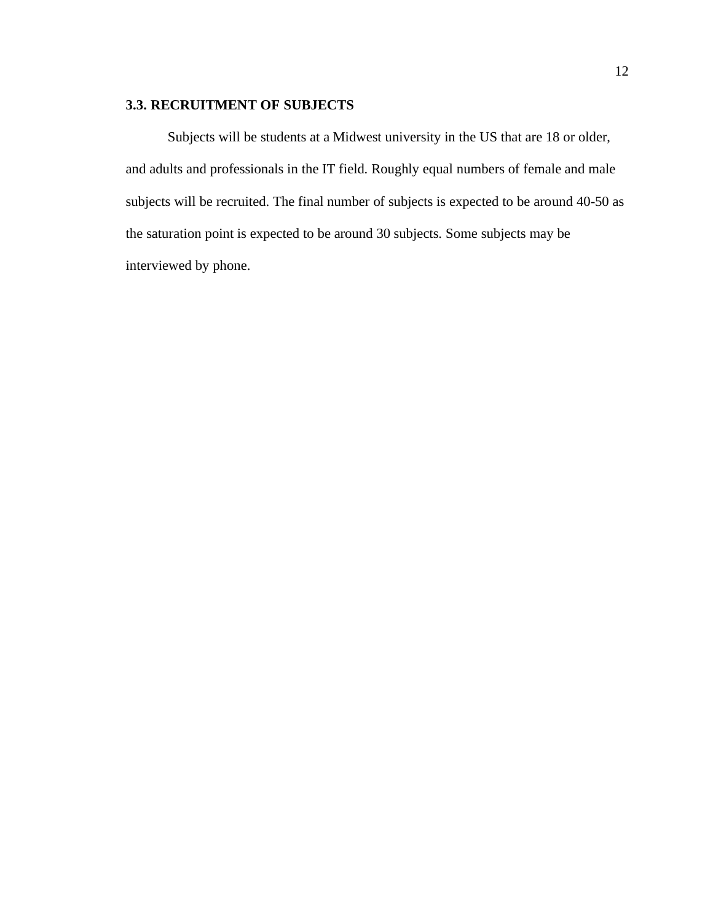# **3.3. RECRUITMENT OF SUBJECTS**

Subjects will be students at a Midwest university in the US that are 18 or older, and adults and professionals in the IT field. Roughly equal numbers of female and male subjects will be recruited. The final number of subjects is expected to be around 40-50 as the saturation point is expected to be around 30 subjects. Some subjects may be interviewed by phone.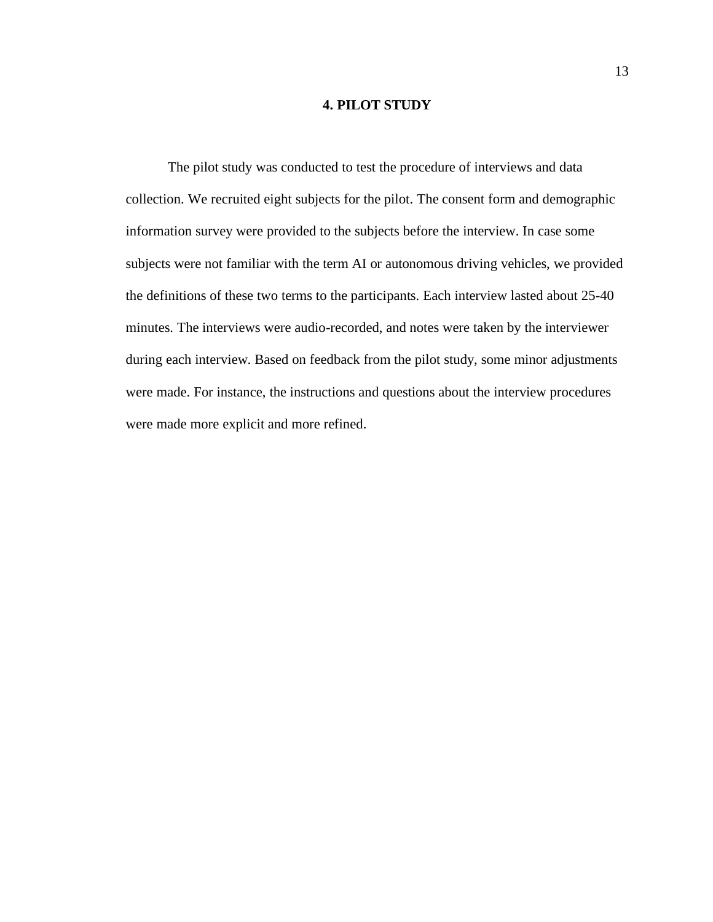### **4. PILOT STUDY**

The pilot study was conducted to test the procedure of interviews and data collection. We recruited eight subjects for the pilot. The consent form and demographic information survey were provided to the subjects before the interview. In case some subjects were not familiar with the term AI or autonomous driving vehicles, we provided the definitions of these two terms to the participants. Each interview lasted about 25-40 minutes. The interviews were audio-recorded, and notes were taken by the interviewer during each interview. Based on feedback from the pilot study, some minor adjustments were made. For instance, the instructions and questions about the interview procedures were made more explicit and more refined.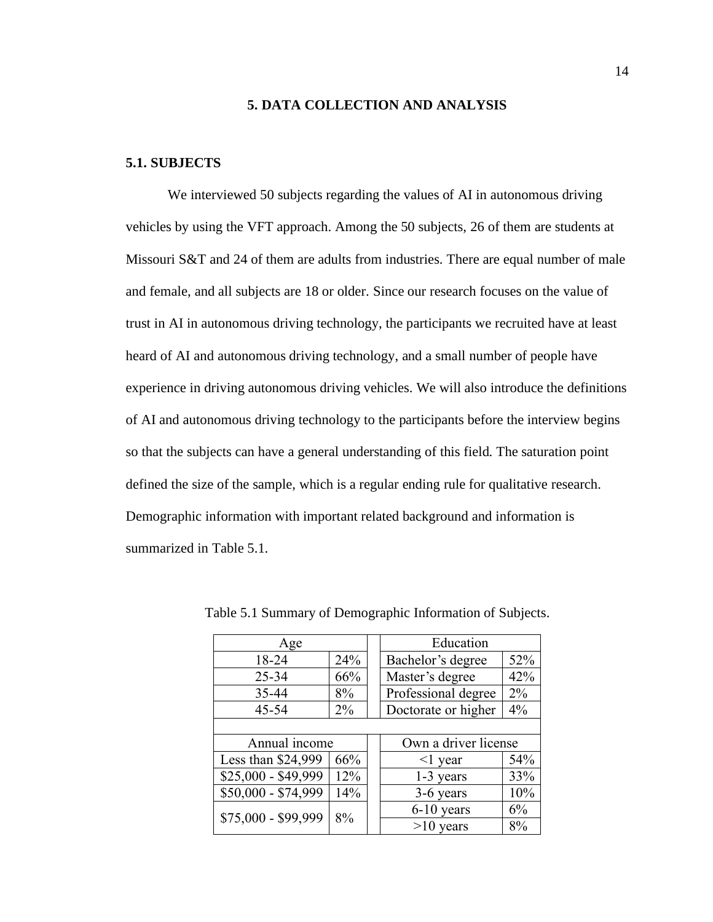#### **5. DATA COLLECTION AND ANALYSIS**

#### <span id="page-22-1"></span><span id="page-22-0"></span>**5.1. SUBJECTS**

We interviewed 50 subjects regarding the values of AI in autonomous driving vehicles by using the VFT approach. Among the 50 subjects, 26 of them are students at Missouri S&T and 24 of them are adults from industries. There are equal number of male and female, and all subjects are 18 or older. Since our research focuses on the value of trust in AI in autonomous driving technology, the participants we recruited have at least heard of AI and autonomous driving technology, and a small number of people have experience in driving autonomous driving vehicles. We will also introduce the definitions of AI and autonomous driving technology to the participants before the interview begins so that the subjects can have a general understanding of this field. The saturation point defined the size of the sample, which is a regular ending rule for qualitative research. Demographic information with important related background and information is summarized in Table 5.1.

| Age                 |       |  | Education            |     |
|---------------------|-------|--|----------------------|-----|
| 24%<br>18-24        |       |  | Bachelor's degree    | 52% |
| $25 - 34$           | 66%   |  | Master's degree      | 42% |
| 35-44               | 8%    |  | Professional degree  | 2%  |
| $45 - 54$           | $2\%$ |  | Doctorate or higher  | 4%  |
|                     |       |  |                      |     |
| Annual income       |       |  | Own a driver license |     |
| Less than \$24,999  | 66%   |  | $\leq$ year          | 54% |
| \$25,000 - \$49,999 | 12%   |  | 1-3 years            | 33% |
| \$50,000 - \$74,999 | 14%   |  | 3-6 years            | 10% |
|                     |       |  | $6-10$ years         | 6%  |
| \$75,000 - \$99,999 | 8%    |  | $>10$ years          | 8%  |

Table 5.1 Summary of Demographic Information of Subjects.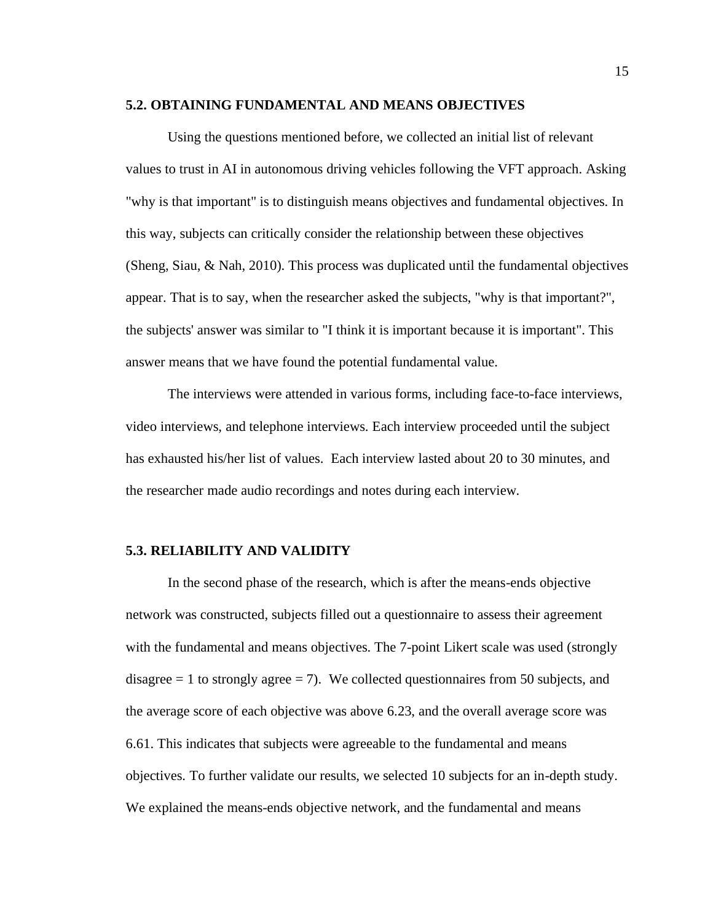#### <span id="page-23-0"></span>**5.2. OBTAINING FUNDAMENTAL AND MEANS OBJECTIVES**

Using the questions mentioned before, we collected an initial list of relevant values to trust in AI in autonomous driving vehicles following the VFT approach. Asking "why is that important" is to distinguish means objectives and fundamental objectives. In this way, subjects can critically consider the relationship between these objectives (Sheng, Siau, & Nah, 2010). This process was duplicated until the fundamental objectives appear. That is to say, when the researcher asked the subjects, "why is that important?", the subjects' answer was similar to "I think it is important because it is important". This answer means that we have found the potential fundamental value.

The interviews were attended in various forms, including face-to-face interviews, video interviews, and telephone interviews. Each interview proceeded until the subject has exhausted his/her list of values. Each interview lasted about 20 to 30 minutes, and the researcher made audio recordings and notes during each interview.

#### <span id="page-23-1"></span>**5.3. RELIABILITY AND VALIDITY**

In the second phase of the research, which is after the means-ends objective network was constructed, subjects filled out a questionnaire to assess their agreement with the fundamental and means objectives. The 7-point Likert scale was used (strongly disagree  $= 1$  to strongly agree  $= 7$ ). We collected questionnaires from 50 subjects, and the average score of each objective was above 6.23, and the overall average score was 6.61. This indicates that subjects were agreeable to the fundamental and means objectives. To further validate our results, we selected 10 subjects for an in-depth study. We explained the means-ends objective network, and the fundamental and means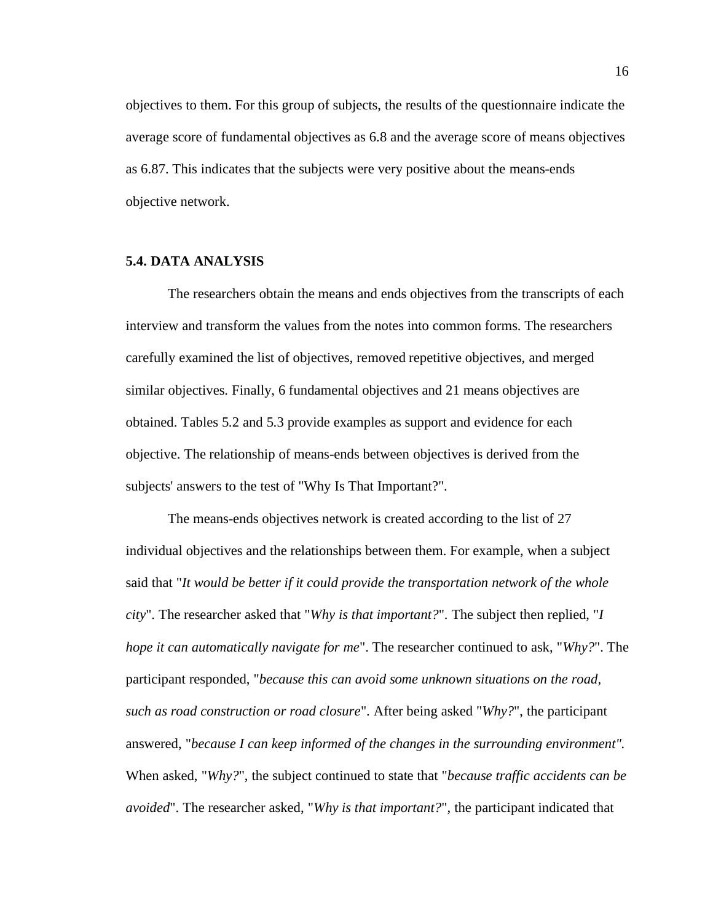objectives to them. For this group of subjects, the results of the questionnaire indicate the average score of fundamental objectives as 6.8 and the average score of means objectives as 6.87. This indicates that the subjects were very positive about the means-ends objective network.

#### <span id="page-24-0"></span>**5.4. DATA ANALYSIS**

The researchers obtain the means and ends objectives from the transcripts of each interview and transform the values from the notes into common forms. The researchers carefully examined the list of objectives, removed repetitive objectives, and merged similar objectives. Finally, 6 fundamental objectives and 21 means objectives are obtained. Tables 5.2 and 5.3 provide examples as support and evidence for each objective. The relationship of means-ends between objectives is derived from the subjects' answers to the test of "Why Is That Important?".

The means-ends objectives network is created according to the list of 27 individual objectives and the relationships between them. For example, when a subject said that "*It would be better if it could provide the transportation network of the whole city*". The researcher asked that "*Why is that important?*". The subject then replied, "*I hope it can automatically navigate for me*". The researcher continued to ask, "*Why?*". The participant responded, "*because this can avoid some unknown situations on the road, such as road construction or road closure*". After being asked "*Why?*", the participant answered, "*because I can keep informed of the changes in the surrounding environment".*  When asked, "*Why?*", the subject continued to state that "*because traffic accidents can be avoided*". The researcher asked, "*Why is that important?*", the participant indicated that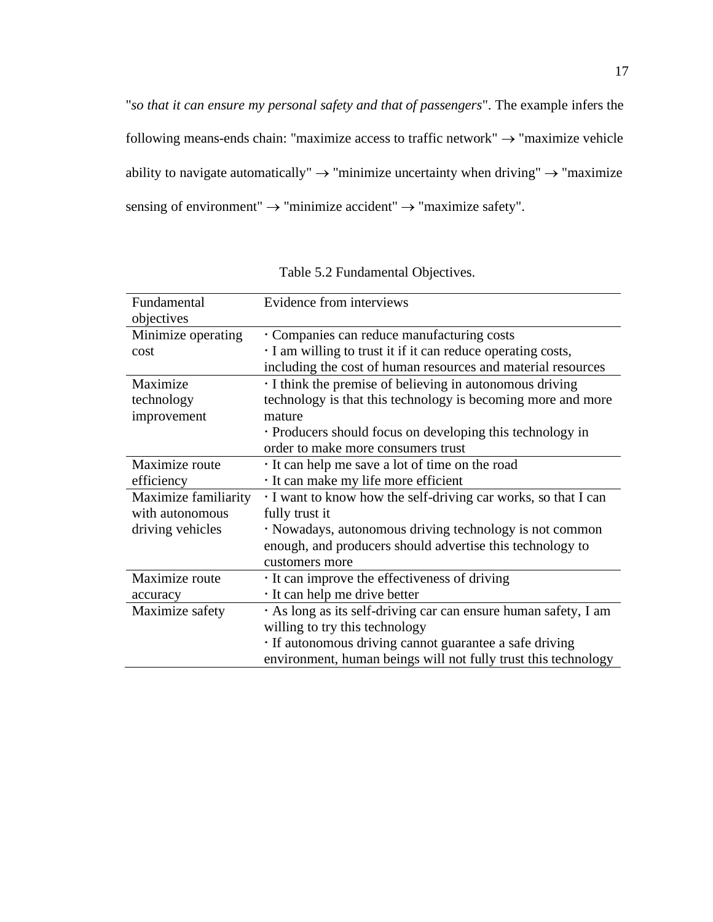"*so that it can ensure my personal safety and that of passengers*". The example infers the following means-ends chain: "maximize access to traffic network"  $\rightarrow$  "maximize vehicle ability to navigate automatically"  $\rightarrow$  "minimize uncertainty when driving"  $\rightarrow$  "maximize sensing of environment"  $\rightarrow$  "minimize accident"  $\rightarrow$  "maximize safety".

| Fundamental          | Evidence from interviews                                       |
|----------------------|----------------------------------------------------------------|
| objectives           |                                                                |
| Minimize operating   | Companies can reduce manufacturing costs                       |
| cost                 | I am willing to trust it if it can reduce operating costs,     |
|                      | including the cost of human resources and material resources   |
| Maximize             | I think the premise of believing in autonomous driving         |
| technology           | technology is that this technology is becoming more and more   |
| improvement          | mature                                                         |
|                      | • Producers should focus on developing this technology in      |
|                      | order to make more consumers trust                             |
| Maximize route       | It can help me save a lot of time on the road                  |
| efficiency           | It can make my life more efficient                             |
| Maximize familiarity | I want to know how the self-driving car works, so that I can   |
| with autonomous      | fully trust it                                                 |
| driving vehicles     | · Nowadays, autonomous driving technology is not common        |
|                      | enough, and producers should advertise this technology to      |
|                      | customers more                                                 |
| Maximize route       | It can improve the effectiveness of driving                    |
| accuracy             | It can help me drive better                                    |
| Maximize safety      | As long as its self-driving car can ensure human safety, I am  |
|                      | willing to try this technology                                 |
|                      | If autonomous driving cannot guarantee a safe driving          |
|                      | environment, human beings will not fully trust this technology |

Table 5.2 Fundamental Objectives.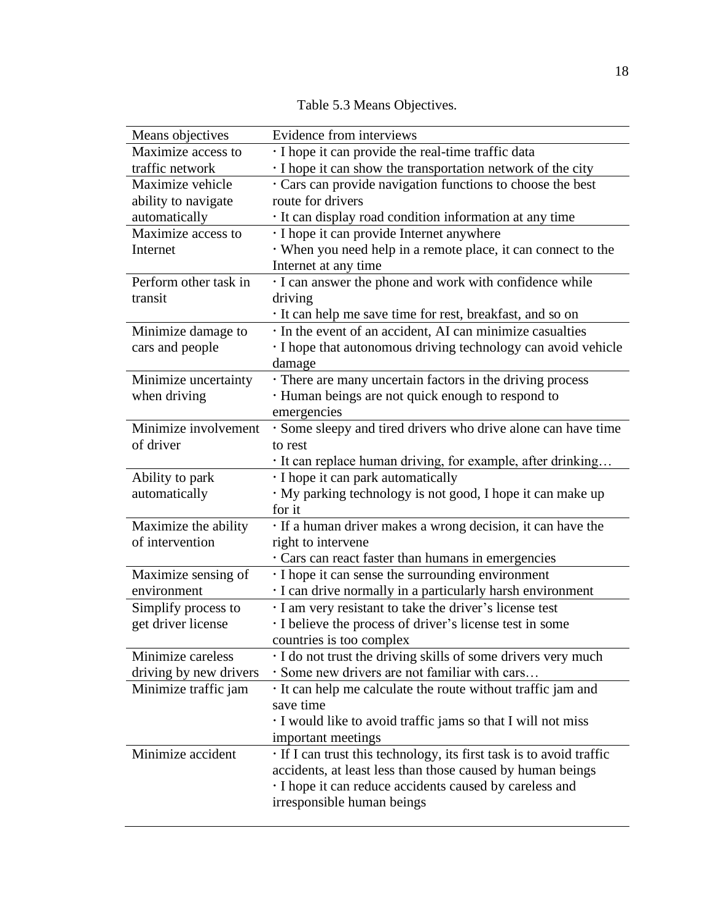| Means objectives       | Evidence from interviews                                           |
|------------------------|--------------------------------------------------------------------|
| Maximize access to     | I hope it can provide the real-time traffic data                   |
| traffic network        | I hope it can show the transportation network of the city          |
| Maximize vehicle       | Cars can provide navigation functions to choose the best           |
| ability to navigate    | route for drivers                                                  |
| automatically          | It can display road condition information at any time              |
| Maximize access to     | · I hope it can provide Internet anywhere                          |
| Internet               | · When you need help in a remote place, it can connect to the      |
|                        | Internet at any time                                               |
| Perform other task in  | I can answer the phone and work with confidence while              |
| transit                | driving                                                            |
|                        | · It can help me save time for rest, breakfast, and so on          |
| Minimize damage to     | · In the event of an accident, AI can minimize casualties          |
| cars and people        | I hope that autonomous driving technology can avoid vehicle        |
|                        | damage                                                             |
| Minimize uncertainty   | • There are many uncertain factors in the driving process          |
| when driving           | · Human beings are not quick enough to respond to                  |
|                        | emergencies                                                        |
| Minimize involvement   | Some sleepy and tired drivers who drive alone can have time        |
| of driver              | to rest                                                            |
|                        | · It can replace human driving, for example, after drinking        |
| Ability to park        | I hope it can park automatically                                   |
| automatically          | · My parking technology is not good, I hope it can make up         |
|                        | for it                                                             |
| Maximize the ability   | If a human driver makes a wrong decision, it can have the          |
| of intervention        | right to intervene                                                 |
|                        | Cars can react faster than humans in emergencies                   |
| Maximize sensing of    | I hope it can sense the surrounding environment                    |
| environment            | · I can drive normally in a particularly harsh environment         |
| Simplify process to    | · I am very resistant to take the driver's license test            |
| get driver license     | I believe the process of driver's license test in some             |
|                        | countries is too complex                                           |
| Minimize careless      | · I do not trust the driving skills of some drivers very much      |
| driving by new drivers | · Some new drivers are not familiar with cars                      |
| Minimize traffic jam   | It can help me calculate the route without traffic jam and         |
|                        | save time                                                          |
|                        | I would like to avoid traffic jams so that I will not miss         |
|                        | important meetings                                                 |
| Minimize accident      | If I can trust this technology, its first task is to avoid traffic |
|                        | accidents, at least less than those caused by human beings         |
|                        | I hope it can reduce accidents caused by careless and              |
|                        | irresponsible human beings                                         |

Table 5.3 Means Objectives.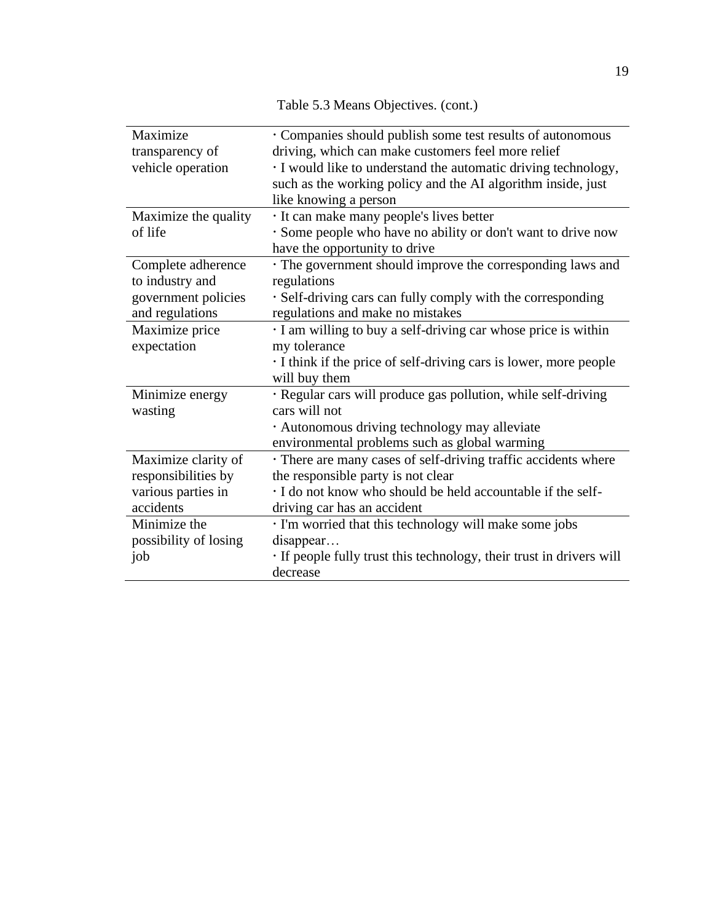Table 5.3 Means Objectives. (cont.)

| Maximize              | Companies should publish some test results of autonomous           |
|-----------------------|--------------------------------------------------------------------|
| transparency of       | driving, which can make customers feel more relief                 |
| vehicle operation     | I would like to understand the automatic driving technology,       |
|                       | such as the working policy and the AI algorithm inside, just       |
|                       | like knowing a person                                              |
| Maximize the quality  | · It can make many people's lives better                           |
| of life               | · Some people who have no ability or don't want to drive now       |
|                       | have the opportunity to drive                                      |
| Complete adherence    | The government should improve the corresponding laws and           |
| to industry and       | regulations                                                        |
| government policies   | · Self-driving cars can fully comply with the corresponding        |
| and regulations       | regulations and make no mistakes                                   |
| Maximize price        | I am willing to buy a self-driving car whose price is within       |
| expectation           | my tolerance                                                       |
|                       | I think if the price of self-driving cars is lower, more people    |
|                       | will buy them                                                      |
| Minimize energy       | · Regular cars will produce gas pollution, while self-driving      |
| wasting               | cars will not                                                      |
|                       | · Autonomous driving technology may alleviate                      |
|                       | environmental problems such as global warming                      |
| Maximize clarity of   | There are many cases of self-driving traffic accidents where       |
| responsibilities by   | the responsible party is not clear                                 |
| various parties in    | · I do not know who should be held accountable if the self-        |
| accidents             | driving car has an accident                                        |
| Minimize the          | · I'm worried that this technology will make some jobs             |
| possibility of losing | disappear                                                          |
| job                   | If people fully trust this technology, their trust in drivers will |
|                       | decrease                                                           |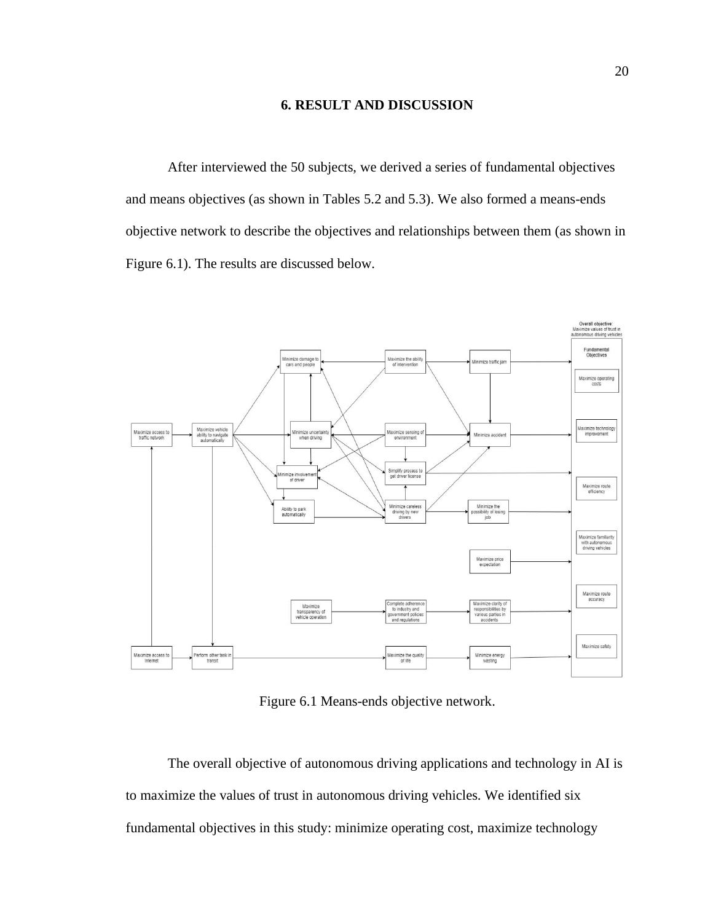#### **6. RESULT AND DISCUSSION**

<span id="page-28-0"></span>After interviewed the 50 subjects, we derived a series of fundamental objectives and means objectives (as shown in Tables 5.2 and 5.3). We also formed a means-ends objective network to describe the objectives and relationships between them (as shown in Figure 6.1). The results are discussed below.



Figure 6.1 Means-ends objective network.

The overall objective of autonomous driving applications and technology in AI is to maximize the values of trust in autonomous driving vehicles. We identified six fundamental objectives in this study: minimize operating cost, maximize technology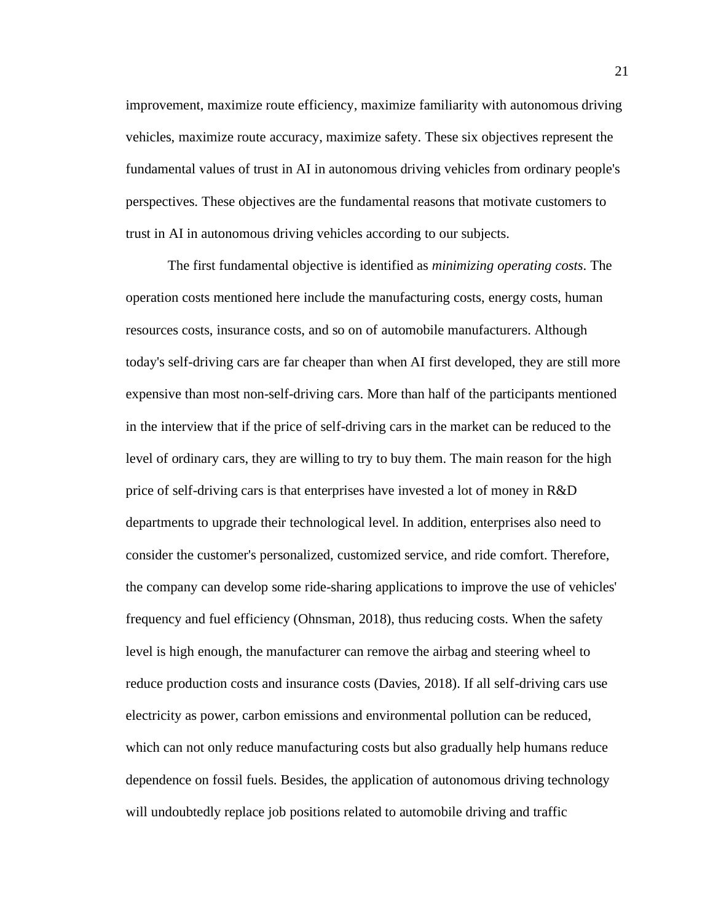improvement, maximize route efficiency, maximize familiarity with autonomous driving vehicles, maximize route accuracy, maximize safety. These six objectives represent the fundamental values of trust in AI in autonomous driving vehicles from ordinary people's perspectives. These objectives are the fundamental reasons that motivate customers to trust in AI in autonomous driving vehicles according to our subjects.

The first fundamental objective is identified as *minimizing operating costs*. The operation costs mentioned here include the manufacturing costs, energy costs, human resources costs, insurance costs, and so on of automobile manufacturers. Although today's self-driving cars are far cheaper than when AI first developed, they are still more expensive than most non-self-driving cars. More than half of the participants mentioned in the interview that if the price of self-driving cars in the market can be reduced to the level of ordinary cars, they are willing to try to buy them. The main reason for the high price of self-driving cars is that enterprises have invested a lot of money in R&D departments to upgrade their technological level. In addition, enterprises also need to consider the customer's personalized, customized service, and ride comfort. Therefore, the company can develop some ride-sharing applications to improve the use of vehicles' frequency and fuel efficiency (Ohnsman, 2018), thus reducing costs. When the safety level is high enough, the manufacturer can remove the airbag and steering wheel to reduce production costs and insurance costs (Davies, 2018). If all self-driving cars use electricity as power, carbon emissions and environmental pollution can be reduced, which can not only reduce manufacturing costs but also gradually help humans reduce dependence on fossil fuels. Besides, the application of autonomous driving technology will undoubtedly replace job positions related to automobile driving and traffic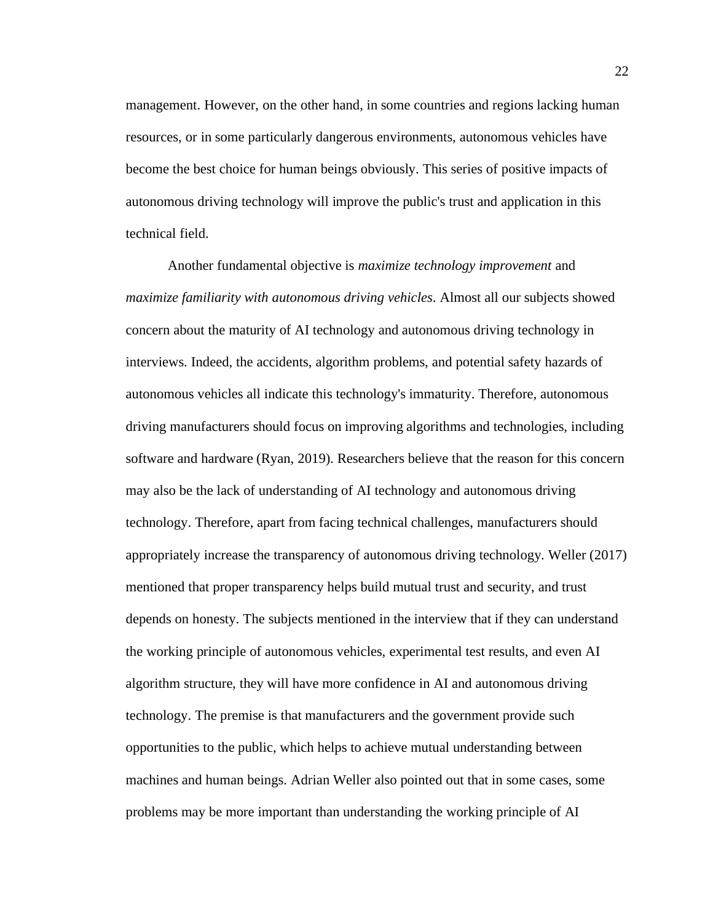management. However, on the other hand, in some countries and regions lacking human resources, or in some particularly dangerous environments, autonomous vehicles have become the best choice for human beings obviously. This series of positive impacts of autonomous driving technology will improve the public's trust and application in this technical field.

Another fundamental objective is *maximize technology improvement* and *maximize familiarity with autonomous driving vehicles*. Almost all our subjects showed concern about the maturity of AI technology and autonomous driving technology in interviews. Indeed, the accidents, algorithm problems, and potential safety hazards of autonomous vehicles all indicate this technology's immaturity. Therefore, autonomous driving manufacturers should focus on improving algorithms and technologies, including software and hardware (Ryan, 2019). Researchers believe that the reason for this concern may also be the lack of understanding of AI technology and autonomous driving technology. Therefore, apart from facing technical challenges, manufacturers should appropriately increase the transparency of autonomous driving technology. Weller (2017) mentioned that proper transparency helps build mutual trust and security, and trust depends on honesty. The subjects mentioned in the interview that if they can understand the working principle of autonomous vehicles, experimental test results, and even AI algorithm structure, they will have more confidence in AI and autonomous driving technology. The premise is that manufacturers and the government provide such opportunities to the public, which helps to achieve mutual understanding between machines and human beings. Adrian Weller also pointed out that in some cases, some problems may be more important than understanding the working principle of AI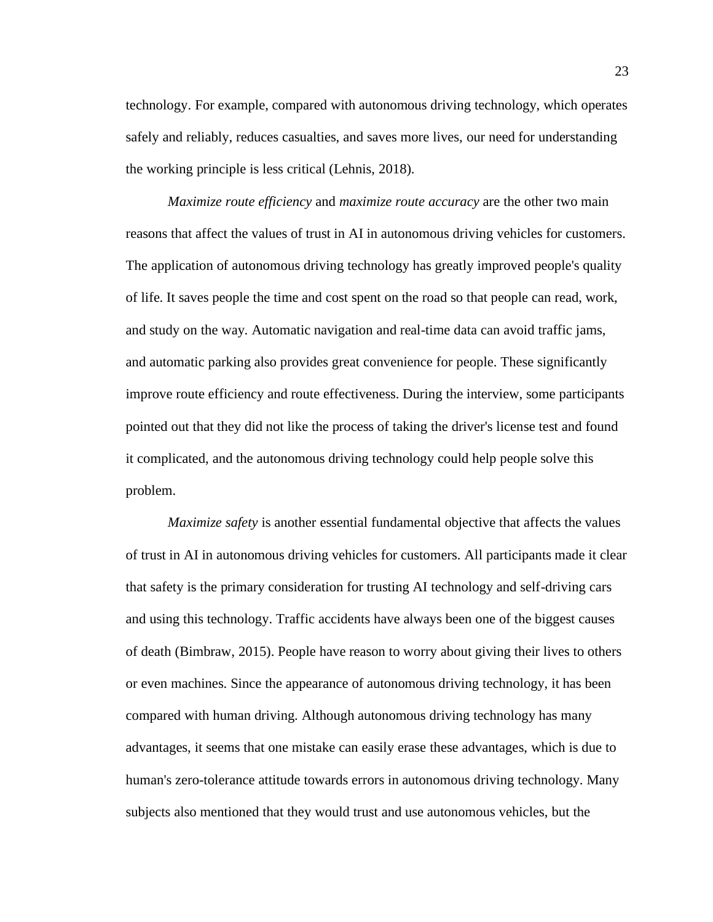technology. For example, compared with autonomous driving technology, which operates safely and reliably, reduces casualties, and saves more lives, our need for understanding the working principle is less critical (Lehnis, 2018).

*Maximize route efficiency* and *maximize route accuracy* are the other two main reasons that affect the values of trust in AI in autonomous driving vehicles for customers. The application of autonomous driving technology has greatly improved people's quality of life. It saves people the time and cost spent on the road so that people can read, work, and study on the way. Automatic navigation and real-time data can avoid traffic jams, and automatic parking also provides great convenience for people. These significantly improve route efficiency and route effectiveness. During the interview, some participants pointed out that they did not like the process of taking the driver's license test and found it complicated, and the autonomous driving technology could help people solve this problem.

*Maximize safety* is another essential fundamental objective that affects the values of trust in AI in autonomous driving vehicles for customers. All participants made it clear that safety is the primary consideration for trusting AI technology and self-driving cars and using this technology. Traffic accidents have always been one of the biggest causes of death (Bimbraw, 2015). People have reason to worry about giving their lives to others or even machines. Since the appearance of autonomous driving technology, it has been compared with human driving. Although autonomous driving technology has many advantages, it seems that one mistake can easily erase these advantages, which is due to human's zero-tolerance attitude towards errors in autonomous driving technology. Many subjects also mentioned that they would trust and use autonomous vehicles, but the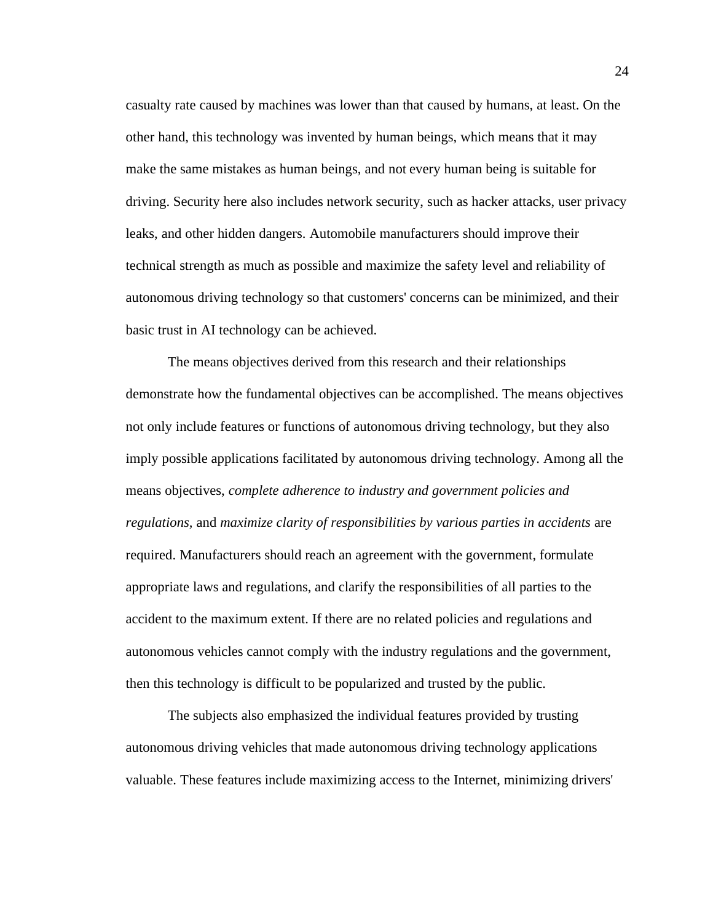casualty rate caused by machines was lower than that caused by humans, at least. On the other hand, this technology was invented by human beings, which means that it may make the same mistakes as human beings, and not every human being is suitable for driving. Security here also includes network security, such as hacker attacks, user privacy leaks, and other hidden dangers. Automobile manufacturers should improve their technical strength as much as possible and maximize the safety level and reliability of autonomous driving technology so that customers' concerns can be minimized, and their basic trust in AI technology can be achieved.

The means objectives derived from this research and their relationships demonstrate how the fundamental objectives can be accomplished. The means objectives not only include features or functions of autonomous driving technology, but they also imply possible applications facilitated by autonomous driving technology. Among all the means objectives, *complete adherence to industry and government policies and regulations,* and *maximize clarity of responsibilities by various parties in accidents* are required. Manufacturers should reach an agreement with the government, formulate appropriate laws and regulations, and clarify the responsibilities of all parties to the accident to the maximum extent. If there are no related policies and regulations and autonomous vehicles cannot comply with the industry regulations and the government, then this technology is difficult to be popularized and trusted by the public.

The subjects also emphasized the individual features provided by trusting autonomous driving vehicles that made autonomous driving technology applications valuable. These features include maximizing access to the Internet, minimizing drivers'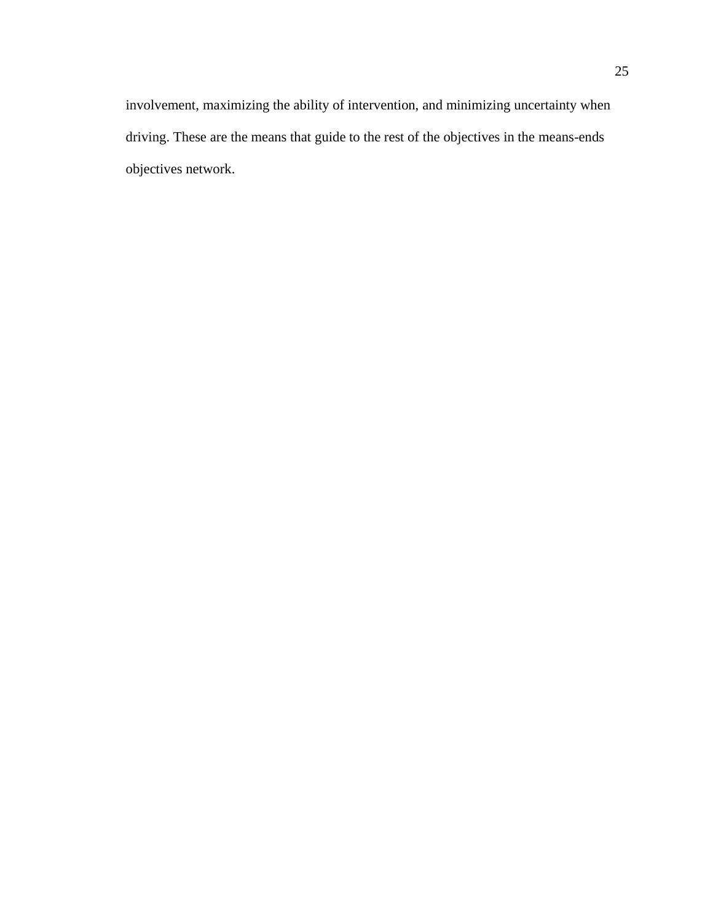involvement, maximizing the ability of intervention, and minimizing uncertainty when driving. These are the means that guide to the rest of the objectives in the means-ends objectives network.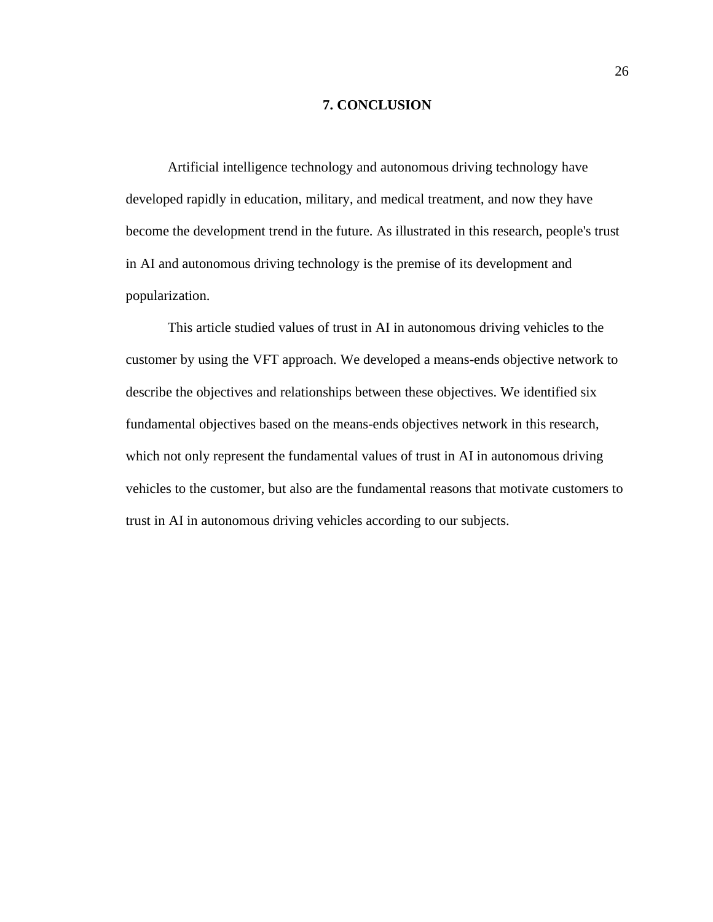### **7. CONCLUSION**

<span id="page-34-0"></span>Artificial intelligence technology and autonomous driving technology have developed rapidly in education, military, and medical treatment, and now they have become the development trend in the future. As illustrated in this research, people's trust in AI and autonomous driving technology is the premise of its development and popularization.

This article studied values of trust in AI in autonomous driving vehicles to the customer by using the VFT approach. We developed a means-ends objective network to describe the objectives and relationships between these objectives. We identified six fundamental objectives based on the means-ends objectives network in this research, which not only represent the fundamental values of trust in AI in autonomous driving vehicles to the customer, but also are the fundamental reasons that motivate customers to trust in AI in autonomous driving vehicles according to our subjects.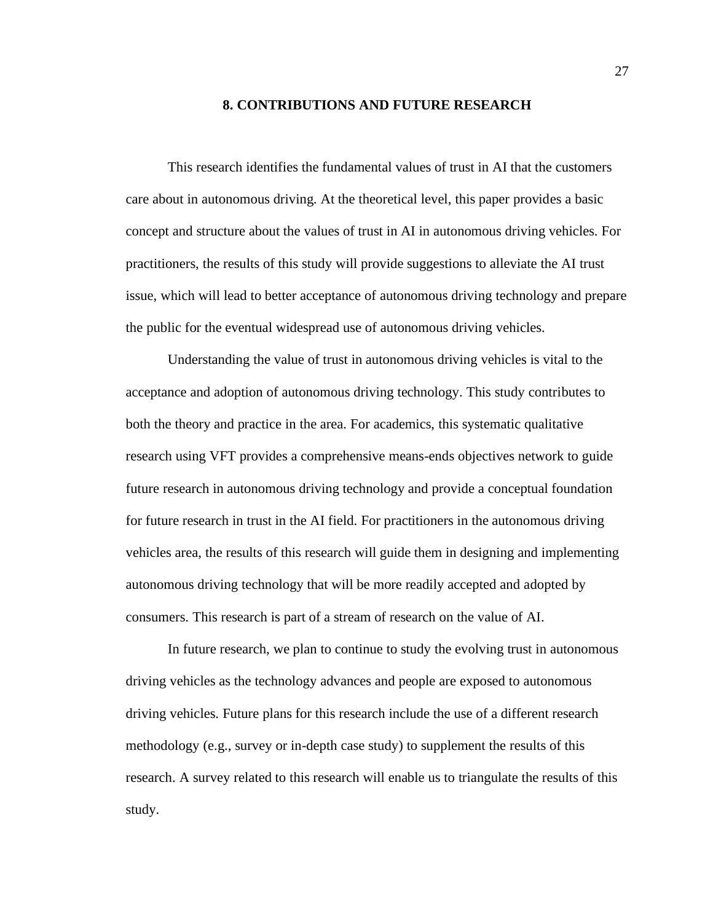#### **8. CONTRIBUTIONS AND FUTURE RESEARCH**

<span id="page-35-0"></span>This research identifies the fundamental values of trust in AI that the customers care about in autonomous driving. At the theoretical level, this paper provides a basic concept and structure about the values of trust in AI in autonomous driving vehicles. For practitioners, the results of this study will provide suggestions to alleviate the AI trust issue, which will lead to better acceptance of autonomous driving technology and prepare the public for the eventual widespread use of autonomous driving vehicles.

Understanding the value of trust in autonomous driving vehicles is vital to the acceptance and adoption of autonomous driving technology. This study contributes to both the theory and practice in the area. For academics, this systematic qualitative research using VFT provides a comprehensive means-ends objectives network to guide future research in autonomous driving technology and provide a conceptual foundation for future research in trust in the AI field. For practitioners in the autonomous driving vehicles area, the results of this research will guide them in designing and implementing autonomous driving technology that will be more readily accepted and adopted by consumers. This research is part of a stream of research on the value of AI.

In future research, we plan to continue to study the evolving trust in autonomous driving vehicles as the technology advances and people are exposed to autonomous driving vehicles. Future plans for this research include the use of a different research methodology (e.g., survey or in-depth case study) to supplement the results of this research. A survey related to this research will enable us to triangulate the results of this study.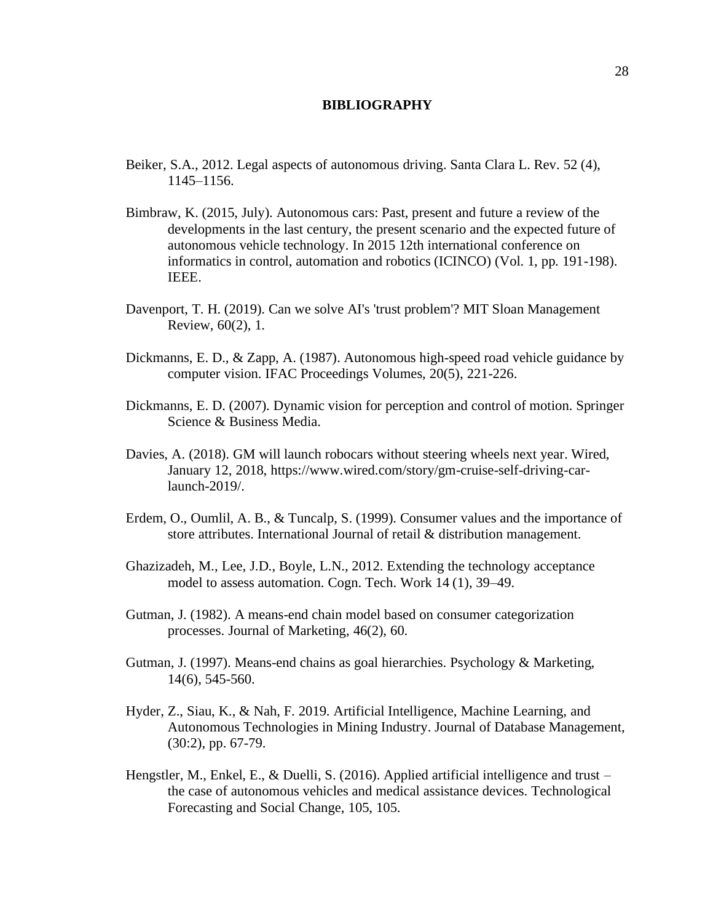#### **BIBLIOGRAPHY**

- Beiker, S.A., 2012. Legal aspects of autonomous driving. Santa Clara L. Rev. 52 (4), 1145–1156.
- Bimbraw, K. (2015, July). Autonomous cars: Past, present and future a review of the developments in the last century, the present scenario and the expected future of autonomous vehicle technology. In 2015 12th international conference on informatics in control, automation and robotics (ICINCO) (Vol. 1, pp. 191-198). IEEE.
- Davenport, T. H. (2019). Can we solve AI's 'trust problem'? MIT Sloan Management Review, 60(2), 1.
- Dickmanns, E. D., & Zapp, A. (1987). Autonomous high-speed road vehicle guidance by computer vision. IFAC Proceedings Volumes, 20(5), 221-226.
- Dickmanns, E. D. (2007). Dynamic vision for perception and control of motion. Springer Science & Business Media.
- Davies, A. (2018). GM will launch robocars without steering wheels next year. Wired, January 12, 2018, https://www.wired.com/story/gm-cruise-self-driving-carlaunch-2019/.
- Erdem, O., Oumlil, A. B., & Tuncalp, S. (1999). Consumer values and the importance of store attributes. International Journal of retail & distribution management.
- Ghazizadeh, M., Lee, J.D., Boyle, L.N., 2012. Extending the technology acceptance model to assess automation. Cogn. Tech. Work 14 (1), 39–49.
- Gutman, J. (1982). A means-end chain model based on consumer categorization processes. Journal of Marketing, 46(2), 60.
- Gutman, J. (1997). Means-end chains as goal hierarchies. Psychology & Marketing, 14(6), 545-560.
- Hyder, Z., Siau, K., & Nah, F. 2019. Artificial Intelligence, Machine Learning, and Autonomous Technologies in Mining Industry. Journal of Database Management, (30:2), pp. 67-79.
- Hengstler, M., Enkel, E., & Duelli, S. (2016). Applied artificial intelligence and trust the case of autonomous vehicles and medical assistance devices. Technological Forecasting and Social Change, 105, 105.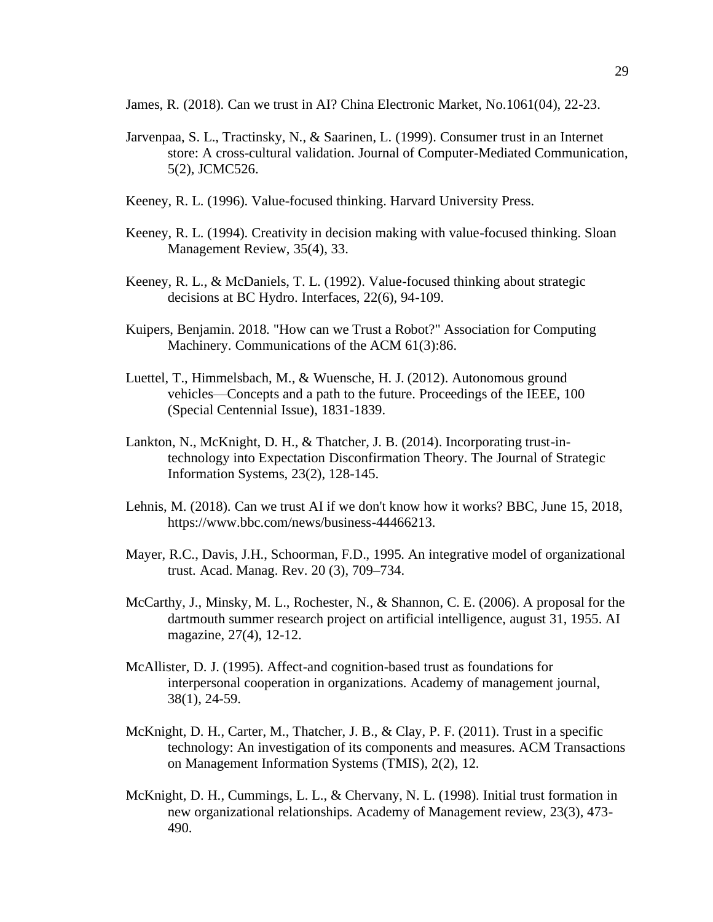James, R. (2018). Can we trust in AI? China Electronic Market, No.1061(04), 22-23.

- Jarvenpaa, S. L., Tractinsky, N., & Saarinen, L. (1999). Consumer trust in an Internet store: A cross-cultural validation. Journal of Computer-Mediated Communication, 5(2), JCMC526.
- Keeney, R. L. (1996). Value-focused thinking. Harvard University Press.
- Keeney, R. L. (1994). Creativity in decision making with value-focused thinking. Sloan Management Review, 35(4), 33.
- Keeney, R. L., & McDaniels, T. L. (1992). Value-focused thinking about strategic decisions at BC Hydro. Interfaces, 22(6), 94-109.
- Kuipers, Benjamin. 2018. "How can we Trust a Robot?" Association for Computing Machinery. Communications of the ACM 61(3):86.
- Luettel, T., Himmelsbach, M., & Wuensche, H. J. (2012). Autonomous ground vehicles—Concepts and a path to the future. Proceedings of the IEEE, 100 (Special Centennial Issue), 1831-1839.
- Lankton, N., McKnight, D. H., & Thatcher, J. B. (2014). Incorporating trust-intechnology into Expectation Disconfirmation Theory. The Journal of Strategic Information Systems, 23(2), 128-145.
- Lehnis, M. (2018). Can we trust AI if we don't know how it works? BBC, June 15, 2018, https://www.bbc.com/news/business-44466213.
- Mayer, R.C., Davis, J.H., Schoorman, F.D., 1995. An integrative model of organizational trust. Acad. Manag. Rev. 20 (3), 709–734.
- McCarthy, J., Minsky, M. L., Rochester, N., & Shannon, C. E. (2006). A proposal for the dartmouth summer research project on artificial intelligence, august 31, 1955. AI magazine, 27(4), 12-12.
- McAllister, D. J. (1995). Affect-and cognition-based trust as foundations for interpersonal cooperation in organizations. Academy of management journal, 38(1), 24-59.
- McKnight, D. H., Carter, M., Thatcher, J. B., & Clay, P. F. (2011). Trust in a specific technology: An investigation of its components and measures. ACM Transactions on Management Information Systems (TMIS), 2(2), 12.
- McKnight, D. H., Cummings, L. L., & Chervany, N. L. (1998). Initial trust formation in new organizational relationships. Academy of Management review, 23(3), 473- 490.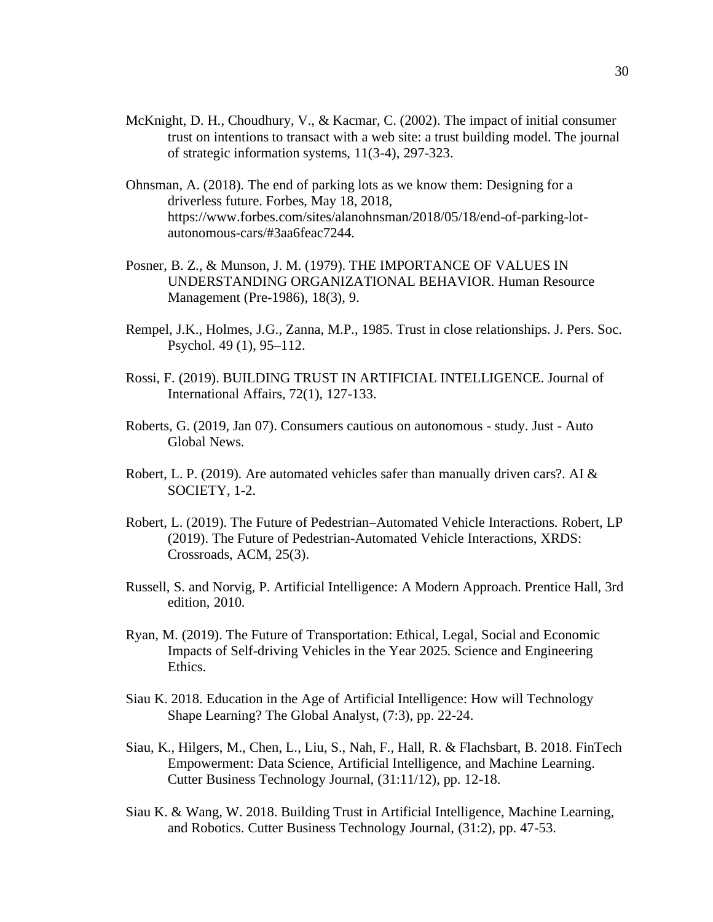- McKnight, D. H., Choudhury, V., & Kacmar, C. (2002). The impact of initial consumer trust on intentions to transact with a web site: a trust building model. The journal of strategic information systems, 11(3-4), 297-323.
- Ohnsman, A. (2018). The end of parking lots as we know them: Designing for a driverless future. Forbes, May 18, 2018, https://www.forbes.com/sites/alanohnsman/2018/05/18/end-of-parking-lotautonomous-cars/#3aa6feac7244.
- Posner, B. Z., & Munson, J. M. (1979). THE IMPORTANCE OF VALUES IN UNDERSTANDING ORGANIZATIONAL BEHAVIOR. Human Resource Management (Pre-1986), 18(3), 9.
- Rempel, J.K., Holmes, J.G., Zanna, M.P., 1985. Trust in close relationships. J. Pers. Soc. Psychol. 49 (1), 95–112.
- Rossi, F. (2019). BUILDING TRUST IN ARTIFICIAL INTELLIGENCE. Journal of International Affairs, 72(1), 127-133.
- Roberts, G. (2019, Jan 07). Consumers cautious on autonomous study. Just Auto Global News.
- Robert, L. P. (2019). Are automated vehicles safer than manually driven cars?. AI  $\&$ SOCIETY, 1-2.
- Robert, L. (2019). The Future of Pedestrian–Automated Vehicle Interactions. Robert, LP (2019). The Future of Pedestrian-Automated Vehicle Interactions, XRDS: Crossroads, ACM, 25(3).
- Russell, S. and Norvig, P. Artificial Intelligence: A Modern Approach. Prentice Hall, 3rd edition, 2010.
- Ryan, M. (2019). The Future of Transportation: Ethical, Legal, Social and Economic Impacts of Self-driving Vehicles in the Year 2025. Science and Engineering Ethics.
- Siau K. 2018. Education in the Age of Artificial Intelligence: How will Technology Shape Learning? The Global Analyst, (7:3), pp. 22-24.
- Siau, K., Hilgers, M., Chen, L., Liu, S., Nah, F., Hall, R. & Flachsbart, B. 2018. FinTech Empowerment: Data Science, Artificial Intelligence, and Machine Learning. Cutter Business Technology Journal, (31:11/12), pp. 12-18.
- Siau K. & Wang, W. 2018. Building Trust in Artificial Intelligence, Machine Learning, and Robotics. Cutter Business Technology Journal, (31:2), pp. 47-53.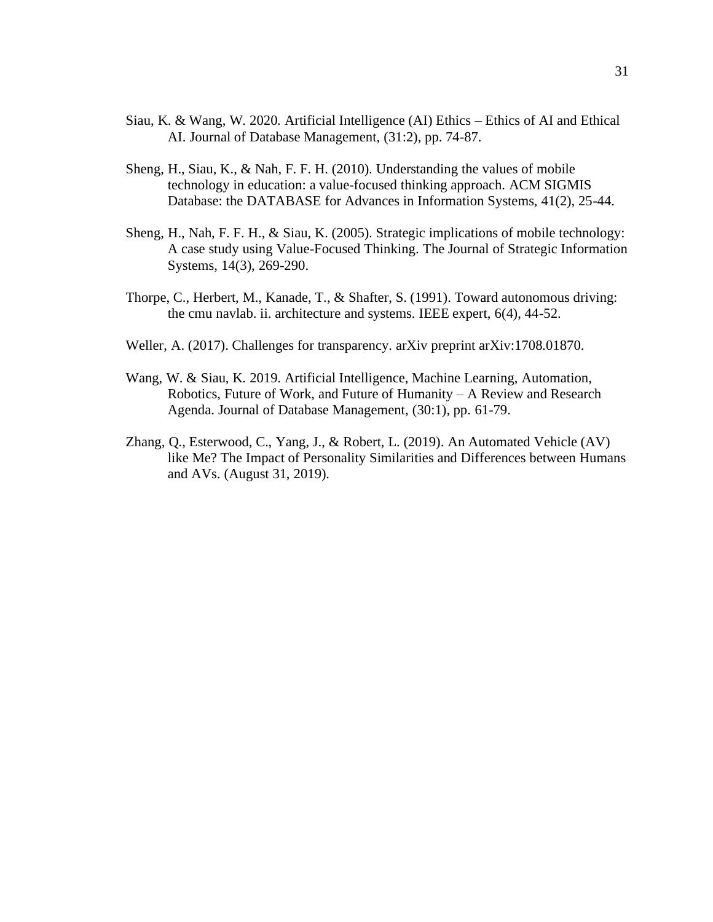- Siau, K. & Wang, W. 2020. Artificial Intelligence (AI) Ethics Ethics of AI and Ethical AI. Journal of Database Management, (31:2), pp. 74-87.
- Sheng, H., Siau, K., & Nah, F. F. H. (2010). Understanding the values of mobile technology in education: a value-focused thinking approach. ACM SIGMIS Database: the DATABASE for Advances in Information Systems, 41(2), 25-44.
- Sheng, H., Nah, F. F. H., & Siau, K. (2005). Strategic implications of mobile technology: A case study using Value-Focused Thinking. The Journal of Strategic Information Systems, 14(3), 269-290.
- Thorpe, C., Herbert, M., Kanade, T., & Shafter, S. (1991). Toward autonomous driving: the cmu navlab. ii. architecture and systems. IEEE expert, 6(4), 44-52.
- Weller, A. (2017). Challenges for transparency. arXiv preprint arXiv:1708.01870.
- Wang, W. & Siau, K. 2019. Artificial Intelligence, Machine Learning, Automation, Robotics, Future of Work, and Future of Humanity – A Review and Research Agenda. Journal of Database Management, (30:1), pp. 61-79.
- Zhang, Q., Esterwood, C., Yang, J., & Robert, L. (2019). An Automated Vehicle (AV) like Me? The Impact of Personality Similarities and Differences between Humans and AVs. (August 31, 2019).